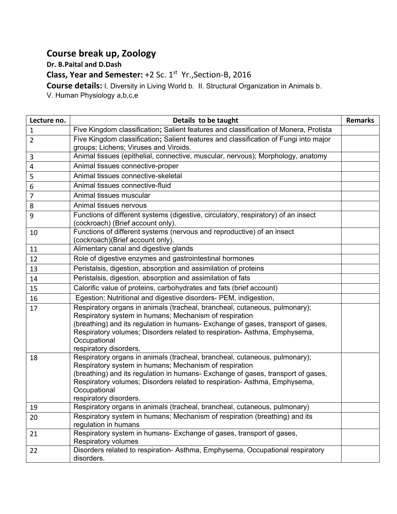## **Course break up, Zoology**

**Dr. B.Paital and D.Dash**

**Class, Year and Semester:** +2 Sc. 1<sup>st</sup> Yr., Section-B, 2016

**Course details:** I. Diversity in Living World b. II. Structural Organization in Animals b.

V. Human Physiology a,b,c,e

| Lecture no.    | Details to be taught                                                                                                                                                                                                                                                                                                                            | <b>Remarks</b> |
|----------------|-------------------------------------------------------------------------------------------------------------------------------------------------------------------------------------------------------------------------------------------------------------------------------------------------------------------------------------------------|----------------|
| $\mathbf{1}$   | Five Kingdom classification; Salient features and classification of Monera, Protista                                                                                                                                                                                                                                                            |                |
| $\overline{2}$ | Five Kingdom classification; Salient features and classification of Fungi into major<br>groups; Lichens; Viruses and Viroids.                                                                                                                                                                                                                   |                |
| 3              | Animal tissues (epithelial, connective, muscular, nervous); Morphology, anatomy                                                                                                                                                                                                                                                                 |                |
| 4              | Animal tissues connective-proper                                                                                                                                                                                                                                                                                                                |                |
| 5              | Animal tissues connective-skeletal                                                                                                                                                                                                                                                                                                              |                |
| 6              | Animal tissues connective-fluid                                                                                                                                                                                                                                                                                                                 |                |
| $\overline{7}$ | Animal tissues muscular                                                                                                                                                                                                                                                                                                                         |                |
| 8              | Animal tissues nervous                                                                                                                                                                                                                                                                                                                          |                |
| 9              | Functions of different systems (digestive, circulatory, respiratory) of an insect<br>(cockroach) (Brief account only).                                                                                                                                                                                                                          |                |
| 10             | Functions of different systems (nervous and reproductive) of an insect<br>(cockroach)(Brief account only).                                                                                                                                                                                                                                      |                |
| 11             | Alimentary canal and digestive glands                                                                                                                                                                                                                                                                                                           |                |
| 12             | Role of digestive enzymes and gastrointestinal hormones                                                                                                                                                                                                                                                                                         |                |
| 13             | Peristalsis, digestion, absorption and assimilation of proteins                                                                                                                                                                                                                                                                                 |                |
| 14             | Peristalsis, digestion, absorption and assimilation of fats                                                                                                                                                                                                                                                                                     |                |
| 15             | Calorific value of proteins, carbohydrates and fats (brief account)                                                                                                                                                                                                                                                                             |                |
| 16             | Egestion; Nutritional and digestive disorders- PEM, indigestion,                                                                                                                                                                                                                                                                                |                |
| 17             | Respiratory organs in animals (tracheal, brancheal, cutaneous, pulmonary);<br>Respiratory system in humans; Mechanism of respiration<br>(breathing) and its regulation in humans- Exchange of gases, transport of gases,<br>Respiratory volumes; Disorders related to respiration- Asthma, Emphysema,<br>Occupational<br>respiratory disorders. |                |
| 18             | Respiratory organs in animals (tracheal, brancheal, cutaneous, pulmonary);<br>Respiratory system in humans; Mechanism of respiration<br>(breathing) and its regulation in humans- Exchange of gases, transport of gases,<br>Respiratory volumes; Disorders related to respiration- Asthma, Emphysema,<br>Occupational<br>respiratory disorders. |                |
| 19             | Respiratory organs in animals (tracheal, brancheal, cutaneous, pulmonary)                                                                                                                                                                                                                                                                       |                |
| 20             | Respiratory system in humans; Mechanism of respiration (breathing) and its<br>regulation in humans                                                                                                                                                                                                                                              |                |
| 21             | Respiratory system in humans- Exchange of gases, transport of gases,<br>Respiratory volumes                                                                                                                                                                                                                                                     |                |
| 22             | Disorders related to respiration- Asthma, Emphysema, Occupational respiratory<br>disorders.                                                                                                                                                                                                                                                     |                |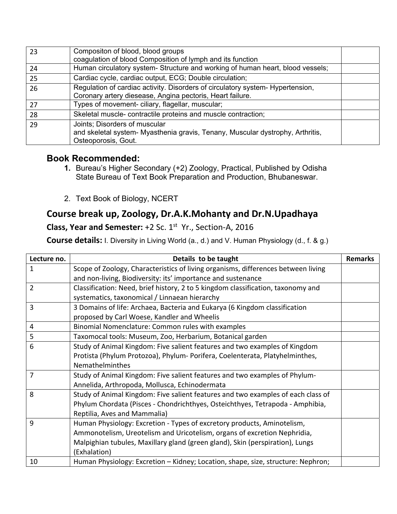| 23  | Compositon of blood, blood groups<br>coagulation of blood Composition of lymph and its function                                             |  |
|-----|---------------------------------------------------------------------------------------------------------------------------------------------|--|
| 24  | Human circulatory system- Structure and working of human heart, blood vessels;                                                              |  |
| 25  | Cardiac cycle, cardiac output, ECG; Double circulation;                                                                                     |  |
| 26  | Regulation of cardiac activity. Disorders of circulatory system- Hypertension,<br>Coronary artery diesease, Angina pectoris, Heart failure. |  |
| 27  | Types of movement- ciliary, flagellar, muscular;                                                                                            |  |
| -28 | Skeletal muscle- contractile proteins and muscle contraction;                                                                               |  |
| 29  | Joints; Disorders of muscular<br>and skeletal system- Myasthenia gravis, Tenany, Muscular dystrophy, Arthritis,<br>Osteoporosis, Gout.      |  |

## **Book Recommended:**

- **1.** Bureau's Higher Secondary (+2) Zoology, Practical, Published by Odisha State Bureau of Text Book Preparation and Production, Bhubaneswar.
- 2. Text Book of Biology, NCERT

## **Course break up, Zoology, Dr.A.K.Mohanty and Dr.N.Upadhaya**

## **Class, Year and Semester:** +2 Sc. 1<sup>st</sup> Yr., Section-A, 2016

**Course details:** I. Diversity in Living World (a., d.) and V. Human Physiology (d., f. & g.)

| Lecture no.    | Details to be taught                                                              | <b>Remarks</b> |
|----------------|-----------------------------------------------------------------------------------|----------------|
| 1              | Scope of Zoology, Characteristics of living organisms, differences between living |                |
|                | and non-living, Biodiversity: its' importance and sustenance                      |                |
| $\overline{2}$ | Classification: Need, brief history, 2 to 5 kingdom classification, taxonomy and  |                |
|                | systematics, taxonomical / Linnaean hierarchy                                     |                |
| 3              | 3 Domains of life: Archaea, Bacteria and Eukarya (6 Kingdom classification        |                |
|                | proposed by Carl Woese, Kandler and Wheelis                                       |                |
| 4              | Binomial Nomenclature: Common rules with examples                                 |                |
| 5              | Taxomocal tools: Museum, Zoo, Herbarium, Botanical garden                         |                |
| 6              | Study of Animal Kingdom: Five salient features and two examples of Kingdom        |                |
|                | Protista (Phylum Protozoa), Phylum- Porifera, Coelenterata, Platyhelminthes,      |                |
|                | Nemathelminthes                                                                   |                |
| 7              | Study of Animal Kingdom: Five salient features and two examples of Phylum-        |                |
|                | Annelida, Arthropoda, Mollusca, Echinodermata                                     |                |
| 8              | Study of Animal Kingdom: Five salient features and two examples of each class of  |                |
|                | Phylum Chordata (Pisces - Chondrichthyes, Osteichthyes, Tetrapoda - Amphibia,     |                |
|                | Reptilia, Aves and Mammalia)                                                      |                |
| 9              | Human Physiology: Excretion - Types of excretory products, Aminotelism,           |                |
|                | Ammonotelism, Ureotelism and Uricotelism, organs of excretion Nephridia,          |                |
|                | Malpighian tubules, Maxillary gland (green gland), Skin (perspiration), Lungs     |                |
|                | (Exhalation)                                                                      |                |
| 10             | Human Physiology: Excretion - Kidney; Location, shape, size, structure: Nephron;  |                |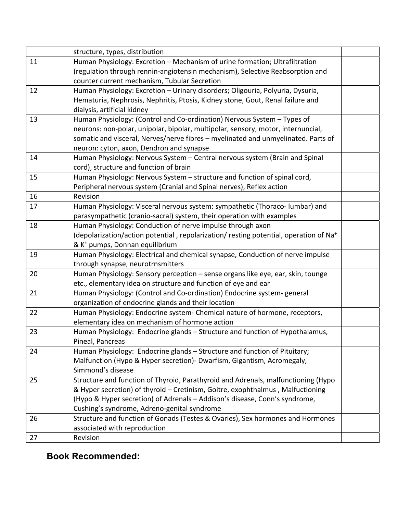|    | structure, types, distribution                                                                    |  |
|----|---------------------------------------------------------------------------------------------------|--|
| 11 | Human Physiology: Excretion - Mechanism of urine formation; Ultrafiltration                       |  |
|    | (regulation through rennin-angiotensin mechanism), Selective Reabsorption and                     |  |
|    | counter current mechanism, Tubular Secretion                                                      |  |
| 12 | Human Physiology: Excretion - Urinary disorders; Oligouria, Polyuria, Dysuria,                    |  |
|    | Hematuria, Nephrosis, Nephritis, Ptosis, Kidney stone, Gout, Renal failure and                    |  |
|    | dialysis, artificial kidney                                                                       |  |
| 13 | Human Physiology: (Control and Co-ordination) Nervous System - Types of                           |  |
|    | neurons: non-polar, unipolar, bipolar, multipolar, sensory, motor, internuncial,                  |  |
|    | somatic and visceral, Nerves/nerve fibres - myelinated and unmyelinated. Parts of                 |  |
|    | neuron: cyton, axon, Dendron and synapse                                                          |  |
| 14 | Human Physiology: Nervous System - Central nervous system (Brain and Spinal                       |  |
|    | cord), structure and function of brain                                                            |  |
| 15 | Human Physiology: Nervous System - structure and function of spinal cord,                         |  |
|    | Peripheral nervous system (Cranial and Spinal nerves), Reflex action                              |  |
| 16 | Revision                                                                                          |  |
| 17 | Human Physiology: Visceral nervous system: sympathetic (Thoraco- lumbar) and                      |  |
|    | parasympathetic (cranio-sacral) system, their operation with examples                             |  |
| 18 | Human Physiology: Conduction of nerve impulse through axon                                        |  |
|    | (depolarization/action potential, repolarization/ resting potential, operation of Na <sup>+</sup> |  |
|    | & K <sup>+</sup> pumps, Donnan equilibrium                                                        |  |
| 19 | Human Physiology: Electrical and chemical synapse, Conduction of nerve impulse                    |  |
|    | through synapse, neurotrnsmitters                                                                 |  |
| 20 | Human Physiology: Sensory perception - sense organs like eye, ear, skin, tounge                   |  |
|    | etc., elementary idea on structure and function of eye and ear                                    |  |
| 21 | Human Physiology: (Control and Co-ordination) Endocrine system-general                            |  |
|    | organization of endocrine glands and their location                                               |  |
| 22 | Human Physiology: Endocrine system- Chemical nature of hormone, receptors,                        |  |
|    | elementary idea on mechanism of hormone action                                                    |  |
| 23 | Human Physiology: Endocrine glands - Structure and function of Hypothalamus,                      |  |
|    | Pineal, Pancreas                                                                                  |  |
| 24 | Human Physiology: Endocrine glands - Structure and function of Pituitary;                         |  |
|    | Malfunction (Hypo & Hyper secretion)- Dwarfism, Gigantism, Acromegaly,                            |  |
|    | Simmond's disease                                                                                 |  |
| 25 | Structure and function of Thyroid, Parathyroid and Adrenals, malfunctioning (Hypo                 |  |
|    | & Hyper secretion) of thyroid - Cretinism, Goitre, exophthalmus, Malfuctioning                    |  |
|    | (Hypo & Hyper secretion) of Adrenals - Addison's disease, Conn's syndrome,                        |  |
|    | Cushing's syndrome, Adreno-genital syndrome                                                       |  |
| 26 | Structure and function of Gonads (Testes & Ovaries), Sex hormones and Hormones                    |  |
|    | associated with reproduction                                                                      |  |
| 27 | Revision                                                                                          |  |

## **Book Recommended:**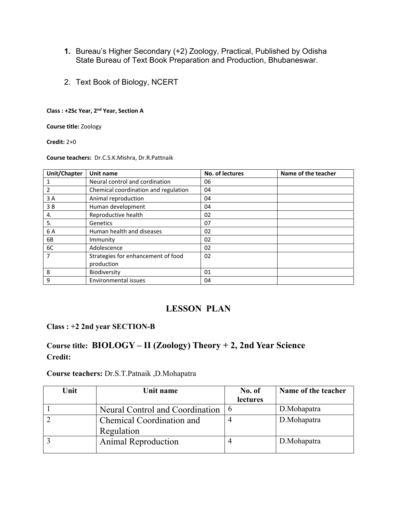- **1.** Bureau's Higher Secondary (+2) Zoology, Practical, Published by Odisha State Bureau of Text Book Preparation and Production, Bhubaneswar.
- 2. Text Book of Biology, NCERT

#### **Class : +2Sc Year, 2nd Year, Section A**

**Course title:** Zoology

**Credit:** 2+0

**Course teachers:**  Dr.C.S.K.Mishra, Dr.R.Pattnaik

| Unit/Chapter | Unit name                            | No. of lectures | Name of the teacher |
|--------------|--------------------------------------|-----------------|---------------------|
|              | Neural control and cordination       | 06              |                     |
|              | Chemical coordination and regulation | 04              |                     |
| 3A           | Animal reproduction                  | 04              |                     |
| 3 B          | Human development                    | 04              |                     |
| 4.           | Reproductive health                  | 02              |                     |
| 5.           | Genetics                             | 07              |                     |
| 6 A          | Human health and diseases            | 02              |                     |
| 6B           | Immunity                             | 02              |                     |
| 6C           | Adolescence                          | 02              |                     |
| 7            | Strategies for enhancement of food   | 02              |                     |
|              | production                           |                 |                     |
| 8            | Biodiversity                         | 01              |                     |
| 9            | Environmental issues                 | 04              |                     |

## **LESSON PLAN**

#### **Class : +2 2nd year SECTION-B**

## **Course title: BIOLOGY – II (Zoology) Theory + 2, 2nd Year Science Credit:**

#### **Course teachers:** Dr.S.T.Patnaik ,D.Mohapatra

| Unit | Unit name                                         | No. of   | Name of the teacher |
|------|---------------------------------------------------|----------|---------------------|
|      |                                                   | lectures |                     |
|      | Neural Control and Coordination $\vert 6 \rangle$ |          | D.Mohapatra         |
|      | Chemical Coordination and                         |          | D.Mohapatra         |
|      | Regulation                                        |          |                     |
|      | <b>Animal Reproduction</b>                        |          | D.Mohapatra         |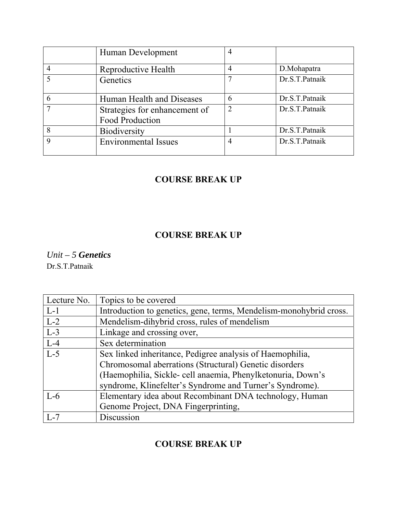|             | Human Development                                |                |                |
|-------------|--------------------------------------------------|----------------|----------------|
|             | Reproductive Health                              |                | D.Mohapatra    |
|             | Genetics                                         |                | Dr.S.T.Patnaik |
| 6           | Human Health and Diseases                        | 6              | Dr.S.T.Patnaik |
|             | Strategies for enhancement of<br>Food Production | $\overline{2}$ | Dr.S.T.Patnaik |
| 8           | Biodiversity                                     |                | Dr.S.T.Patnaik |
| $\mathbf Q$ | <b>Environmental Issues</b>                      |                | Dr.S.T.Patnaik |

## **COURSE BREAK UP**

## **COURSE BREAK UP**

*Unit – 5 Genetics* Dr.S.T.Patnaik

| Lecture No. | Topics to be covered                                               |
|-------------|--------------------------------------------------------------------|
| $L-1$       | Introduction to genetics, gene, terms, Mendelism-monohybrid cross. |
| $L-2$       | Mendelism-dihybrid cross, rules of mendelism                       |
| $L-3$       | Linkage and crossing over,                                         |
| $L-4$       | Sex determination                                                  |
| $L-5$       | Sex linked inheritance, Pedigree analysis of Haemophilia,          |
|             | Chromosomal aberrations (Structural) Genetic disorders             |
|             | (Haemophilia, Sickle- cell anaemia, Phenylketonuria, Down's        |
|             | syndrome, Klinefelter's Syndrome and Turner's Syndrome).           |
| $L-6$       | Elementary idea about Recombinant DNA technology, Human            |
|             | Genome Project, DNA Fingerprinting,                                |
| $L-7$       | Discussion                                                         |

## **COURSE BREAK UP**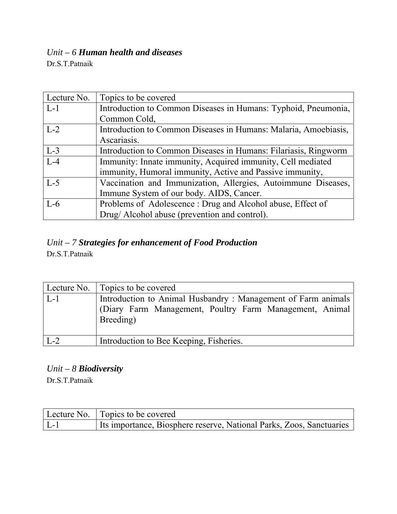# *Unit – 6 Human health and diseases*

Dr.S.T.Patnaik

| Lecture No. | Topics to be covered                                            |
|-------------|-----------------------------------------------------------------|
| $L-1$       | Introduction to Common Diseases in Humans: Typhoid, Pneumonia,  |
|             | Common Cold,                                                    |
| $L-2$       | Introduction to Common Diseases in Humans: Malaria, Amoebiasis, |
|             | Ascariasis.                                                     |
| $L-3$       | Introduction to Common Diseases in Humans: Filariasis, Ringworm |
| $L-4$       | Immunity: Innate immunity, Acquired immunity, Cell mediated     |
|             | immunity, Humoral immunity, Active and Passive immunity,        |
| $L-5$       | Vaccination and Immunization, Allergies, Autoimmune Diseases,   |
|             | Immune System of our body. AIDS, Cancer.                        |
| $L-6$       | Problems of Adolescence: Drug and Alcohol abuse, Effect of      |
|             | Drug/Alcohol abuse (prevention and control).                    |

## *Unit – 7 Strategies for enhancement of Food Production*

Dr.S.T.Patnaik

|       | Lecture No. Topics to be covered                                                                                                     |
|-------|--------------------------------------------------------------------------------------------------------------------------------------|
| $L-1$ | Introduction to Animal Husbandry: Management of Farm animals<br>(Diary Farm Management, Poultry Farm Management, Animal<br>Breeding) |
| $L-2$ | Introduction to Bee Keeping, Fisheries.                                                                                              |

*Unit – 8 Biodiversity*

Dr.S.T.Patnaik

|                       | Lecture No. Topics to be covered                                     |
|-----------------------|----------------------------------------------------------------------|
| $\lfloor L-1 \rfloor$ | Its importance, Biosphere reserve, National Parks, Zoos, Sanctuaries |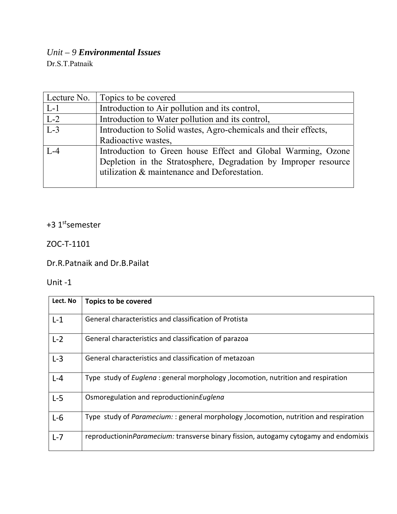# *Unit – 9 Environmental Issues*

Dr.S.T.Patnaik

| Lecture No. | Topics to be covered                                                                                                                                                            |
|-------------|---------------------------------------------------------------------------------------------------------------------------------------------------------------------------------|
| $L-1$       | Introduction to Air pollution and its control,                                                                                                                                  |
| $L-2$       | Introduction to Water pollution and its control,                                                                                                                                |
| $L-3$       | Introduction to Solid wastes, Agro-chemicals and their effects,                                                                                                                 |
|             | Radioactive wastes,                                                                                                                                                             |
| $L - 4$     | Introduction to Green house Effect and Global Warming, Ozone<br>Depletion in the Stratosphere, Degradation by Improper resource<br>utilization & maintenance and Deforestation. |

## +3 1<sup>st</sup>semester

## ZOC‐T‐1101

Dr.R.Patnaik and Dr.B.Pailat

## Unit ‐1

| Lect. No | <b>Topics to be covered</b>                                                                  |
|----------|----------------------------------------------------------------------------------------------|
| $L-1$    | General characteristics and classification of Protista                                       |
| $L-2$    | General characteristics and classification of parazoa                                        |
| $L-3$    | General characteristics and classification of metazoan                                       |
| $L - 4$  | Type study of <i>Euglena</i> : general morphology, locomotion, nutrition and respiration     |
| $L-5$    | Osmoregulation and reproductionin Euglena                                                    |
| $L-6$    | Type study of <i>Paramecium:</i> : general morphology, locomotion, nutrition and respiration |
| $L - 7$  | reproductionin Paramecium: transverse binary fission, autogamy cytogamy and endomixis        |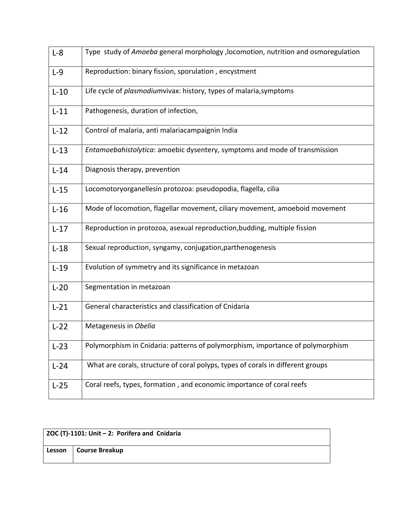| $L-8$  | Type study of Amoeba general morphology, locomotion, nutrition and osmoregulation  |
|--------|------------------------------------------------------------------------------------|
| $L-9$  | Reproduction: binary fission, sporulation, encystment                              |
| $L-10$ | Life cycle of <i>plasmodiumvivax:</i> history, types of malaria, symptoms          |
| $L-11$ | Pathogenesis, duration of infection,                                               |
| $L-12$ | Control of malaria, anti malariacampaignin India                                   |
| $L-13$ | <i>Entamoebahistolytica</i> : amoebic dysentery, symptoms and mode of transmission |
| $L-14$ | Diagnosis therapy, prevention                                                      |
| $L-15$ | Locomotoryorganellesin protozoa: pseudopodia, flagella, cilia                      |
| $L-16$ | Mode of locomotion, flagellar movement, ciliary movement, amoeboid movement        |
| $L-17$ | Reproduction in protozoa, asexual reproduction, budding, multiple fission          |
| $L-18$ | Sexual reproduction, syngamy, conjugation, parthenogenesis                         |
| $L-19$ | Evolution of symmetry and its significance in metazoan                             |
| $L-20$ | Segmentation in metazoan                                                           |
| $L-21$ | General characteristics and classification of Cnidaria                             |
| $L-22$ | Metagenesis in Obelia                                                              |
| $L-23$ | Polymorphism in Cnidaria: patterns of polymorphism, importance of polymorphism     |
| $L-24$ | What are corals, structure of coral polyps, types of corals in different groups    |
| $L-25$ | Coral reefs, types, formation, and economic importance of coral reefs              |

| ZOC (T)-1101: Unit $-2$ : Porifera and Cnidaria |                |
|-------------------------------------------------|----------------|
| Lesson                                          | Course Breakup |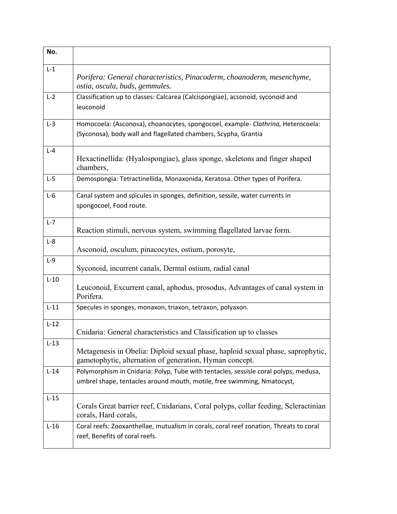| No.     |                                                                                                                                                                 |
|---------|-----------------------------------------------------------------------------------------------------------------------------------------------------------------|
| $L-1$   | Porifera: General characteristics, Pinacoderm, choanoderm, mesenchyme,<br>ostia, oscula, buds, gemmules.                                                        |
| $L-2$   | Classification up to classes: Calcarea (Calcispongiae), acsonoid, syconoid and<br>leuconoid                                                                     |
| $L-3$   | Homocoela: (Asconosa), choanocytes, spongocoel, example- Clathrina, Heterocoela:<br>(Syconosa), body wall and flagellated chambers, Scypha, Grantia             |
| $L - 4$ | Hexactinellida: (Hyalospongiae), glass sponge, skeletons and finger shaped<br>chambers,                                                                         |
| $L-5$   | Demospongia: Tetractinellida, Monaxonida, Keratosa. Other types of Porifera.                                                                                    |
| $L-6$   | Canal system and spicules in sponges, definition, sessile, water currents in<br>spongocoel, Food route.                                                         |
| $L - 7$ | Reaction stimuli, nervous system, swimming flagellated larvae form.                                                                                             |
| $L-8$   | Asconoid, osculum, pinacocytes, ostium, porosyte,                                                                                                               |
| $L-9$   | Syconoid, incurrent canals, Dermal ostium, radial canal                                                                                                         |
| $L-10$  | Leuconoid, Excurrent canal, aphodus, prosodus, Advantages of canal system in<br>Porifera.                                                                       |
| $L-11$  | Specules in sponges, monaxon, triaxon, tetraxon, polyaxon.                                                                                                      |
| $L-12$  | Cnidaria: General characteristics and Classification up to classes                                                                                              |
| $L-13$  | Metagenesis in Obelia: Diploid sexual phase, haploid sexual phase, saprophytic,<br>gametophytic, alternation of generation, Hyman concept.                      |
| $L-14$  | Polymorphism in Cnidaria: Polyp, Tube with tentacles, sessisle coral polyps, medusa,<br>umbrel shape, tentacles around mouth, motile, free swimming, Nmatocyst, |
| $L-15$  | Corals Great barrier reef, Cnidarians, Coral polyps, collar feeding, Scleractinian<br>corals, Hard corals,                                                      |
| $L-16$  | Coral reefs: Zooxanthellae, mutualism in corals, coral reef zonation, Threats to coral<br>reef, Benefits of coral reefs.                                        |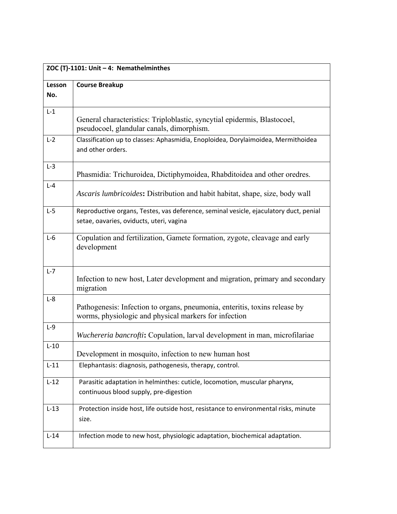| ZOC (T)-1101: Unit - 4: Nemathelminthes |                                                                                                                                     |  |
|-----------------------------------------|-------------------------------------------------------------------------------------------------------------------------------------|--|
| Lesson                                  | <b>Course Breakup</b>                                                                                                               |  |
| No.                                     |                                                                                                                                     |  |
| $L-1$                                   | General characteristics: Triploblastic, syncytial epidermis, Blastocoel,<br>pseudocoel, glandular canals, dimorphism.               |  |
| $L-2$                                   | Classification up to classes: Aphasmidia, Enoploidea, Dorylaimoidea, Mermithoidea<br>and other orders.                              |  |
| $L-3$                                   | Phasmidia: Trichuroidea, Dictiphymoidea, Rhabditoidea and other oredres.                                                            |  |
| $L - 4$                                 | Ascaris lumbricoides: Distribution and habit habitat, shape, size, body wall                                                        |  |
| $L-5$                                   | Reproductive organs, Testes, vas deference, seminal vesicle, ejaculatory duct, penial<br>setae, oavaries, oviducts, uteri, vagina   |  |
| $L-6$                                   | Copulation and fertilization, Gamete formation, zygote, cleavage and early<br>development                                           |  |
| $L-7$                                   | Infection to new host, Later development and migration, primary and secondary<br>migration                                          |  |
| $L-8$                                   | Pathogenesis: Infection to organs, pneumonia, enteritis, toxins release by<br>worms, physiologic and physical markers for infection |  |
| $L-9$                                   | Wuchereria bancrofti: Copulation, larval development in man, microfilariae                                                          |  |
| $L-10$                                  | Development in mosquito, infection to new human host                                                                                |  |
| $L-11$                                  | Elephantasis: diagnosis, pathogenesis, therapy, control.                                                                            |  |
| $L-12$                                  | Parasitic adaptation in helminthes: cuticle, locomotion, muscular pharynx,<br>continuous blood supply, pre-digestion                |  |
| $L-13$                                  | Protection inside host, life outside host, resistance to environmental risks, minute<br>size.                                       |  |
| $L-14$                                  | Infection mode to new host, physiologic adaptation, biochemical adaptation.                                                         |  |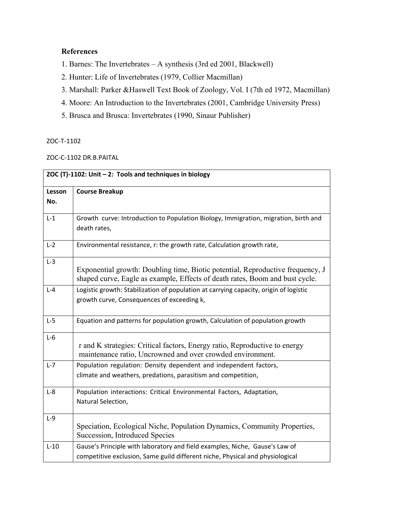### **References**

- 1. Barnes: The Invertebrates A synthesis (3rd ed 2001, Blackwell)
- 2. Hunter: Life of Invertebrates (1979, Collier Macmillan)
- 3. Marshall: Parker &Haswell Text Book of Zoology, Vol. I (7th ed 1972, Macmillan)
- 4. Moore: An Introduction to the Invertebrates (2001, Cambridge University Press)
- 5. Brusca and Brusca: Invertebrates (1990, Sinaur Publisher)

#### ZOC‐T‐1102

#### ZOC‐C‐1102 DR.B.PAITAL

| ZOC (T)-1102: Unit - 2: Tools and techniques in biology |                                                                                                                                                                |  |
|---------------------------------------------------------|----------------------------------------------------------------------------------------------------------------------------------------------------------------|--|
| Lesson                                                  | <b>Course Breakup</b>                                                                                                                                          |  |
| No.                                                     |                                                                                                                                                                |  |
| $L-1$                                                   | Growth curve: Introduction to Population Biology, Immigration, migration, birth and<br>death rates,                                                            |  |
| $L-2$                                                   | Environmental resistance, r: the growth rate, Calculation growth rate,                                                                                         |  |
| $L-3$                                                   | Exponential growth: Doubling time, Biotic potential, Reproductive frequency, J<br>shaped curve, Eagle as example, Effects of death rates, Boom and bust cycle. |  |
| $L - 4$                                                 | Logistic growth: Stabilization of population at carrying capacity, origin of logistic<br>growth curve, Consequences of exceeding k,                            |  |
| $L-5$                                                   | Equation and patterns for population growth, Calculation of population growth                                                                                  |  |
| $L-6$                                                   | r and K strategies: Critical factors, Energy ratio, Reproductive to energy<br>maintenance ratio, Uncrowned and over crowded environment.                       |  |
| $L - 7$                                                 | Population regulation: Density dependent and independent factors,<br>climate and weathers, predations, parasitism and competition,                             |  |
| $L-8$                                                   | Population interactions: Critical Environmental Factors, Adaptation,<br>Natural Selection,                                                                     |  |
| $L-9$                                                   | Speciation, Ecological Niche, Population Dynamics, Community Properties,<br>Succession, Introduced Species                                                     |  |
| $L-10$                                                  | Gause's Principle with laboratory and field examples, Niche, Gause's Law of<br>competitive exclusion, Same guild different niche, Physical and physiological   |  |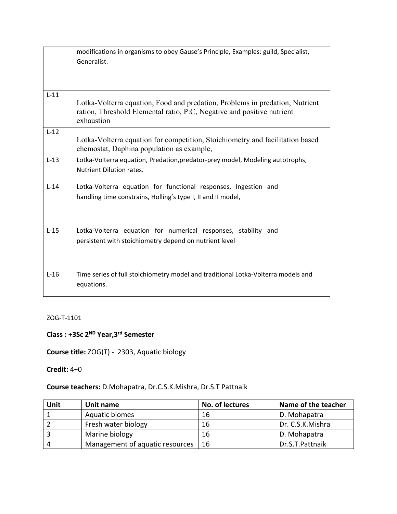|        | modifications in organisms to obey Gause's Principle, Examples: guild, Specialist,                                                                                   |
|--------|----------------------------------------------------------------------------------------------------------------------------------------------------------------------|
|        | Generalist.                                                                                                                                                          |
|        |                                                                                                                                                                      |
|        |                                                                                                                                                                      |
|        |                                                                                                                                                                      |
| $L-11$ |                                                                                                                                                                      |
|        | Lotka-Volterra equation, Food and predation, Problems in predation, Nutrient<br>ration, Threshold Elemental ratio, P:C, Negative and positive nutrient<br>exhaustion |
|        |                                                                                                                                                                      |
| $L-12$ |                                                                                                                                                                      |
|        | Lotka-Volterra equation for competition, Stoichiometry and facilitation based<br>chemostat, Daphina population as example,                                           |
| $L-13$ | Lotka-Volterra equation, Predation, predator-prey model, Modeling autotrophs,                                                                                        |
|        | <b>Nutrient Dilution rates.</b>                                                                                                                                      |
|        |                                                                                                                                                                      |
| $L-14$ | Lotka-Volterra equation for functional responses, Ingestion and                                                                                                      |
|        | handling time constrains, Holling's type I, II and II model,                                                                                                         |
|        |                                                                                                                                                                      |
|        |                                                                                                                                                                      |
|        |                                                                                                                                                                      |
| $L-15$ | Lotka-Volterra equation for numerical responses, stability and                                                                                                       |
|        | persistent with stoichiometry depend on nutrient level                                                                                                               |
|        |                                                                                                                                                                      |
|        |                                                                                                                                                                      |
|        |                                                                                                                                                                      |
| $L-16$ | Time series of full stoichiometry model and traditional Lotka-Volterra models and                                                                                    |
|        | equations.                                                                                                                                                           |
|        |                                                                                                                                                                      |

#### ZOG‐T‐1101

## **Class : +3Sc 2ND Year,3rd Semester**

**Course title:** ZOG(T) ‐ 2303, Aquatic biology

#### **Credit:** 4+0

### **Course teachers:** D.Mohapatra, Dr.C.S.K.Mishra, Dr.S.T Pattnaik

| Unit | Unit name                       | No. of lectures | Name of the teacher |  |
|------|---------------------------------|-----------------|---------------------|--|
|      | Aquatic biomes                  | 16              | D. Mohapatra        |  |
|      | Fresh water biology             | 16              | Dr. C.S.K.Mishra    |  |
|      | Marine biology                  | 16              | D. Mohapatra        |  |
|      | Management of aquatic resources | 16              | Dr.S.T.Pattnaik     |  |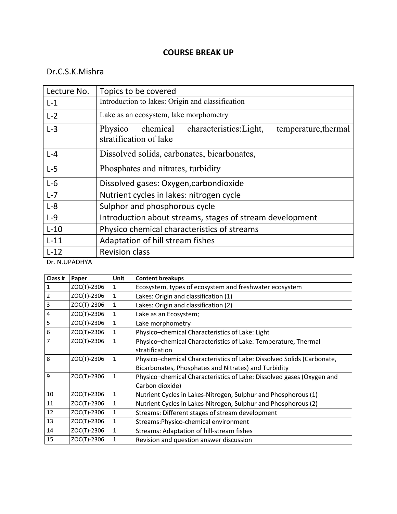### **COURSE BREAK UP**

## Dr.C.S.K.Mishra

| Lecture No. | Topics to be covered                                                                          |
|-------------|-----------------------------------------------------------------------------------------------|
| $L-1$       | Introduction to lakes: Origin and classification                                              |
| $L-2$       | Lake as an ecosystem, lake morphometry                                                        |
| $L-3$       | chemical characteristics: Light,<br>temperature, thermal<br>Physico<br>stratification of lake |
| $L - 4$     | Dissolved solids, carbonates, bicarbonates,                                                   |
| $L-5$       | Phosphates and nitrates, turbidity                                                            |
| $L-6$       | Dissolved gases: Oxygen, carbondioxide                                                        |
| $L - 7$     | Nutrient cycles in lakes: nitrogen cycle                                                      |
| $L-8$       | Sulphor and phosphorous cycle                                                                 |
| $L-9$       | Introduction about streams, stages of stream development                                      |
| $L-10$      | Physico chemical characteristics of streams                                                   |
| $L-11$      | Adaptation of hill stream fishes                                                              |
| $L-12$      | <b>Revision class</b>                                                                         |

Dr. N.UPADHYA

| Class #      | Paper       | <b>Unit</b>  | <b>Content breakups</b>                                                |
|--------------|-------------|--------------|------------------------------------------------------------------------|
| 1            | ZOC(T)-2306 |              | Ecosystem, types of ecosystem and freshwater ecosystem                 |
| $\mathbf 2$  | ZOC(T)-2306 | 1            | Lakes: Origin and classification (1)                                   |
| 3            | ZOC(T)-2306 | 1            | Lakes: Origin and classification (2)                                   |
| 4            | ZOC(T)-2306 | 1            | Lake as an Ecosystem;                                                  |
| 5            | ZOC(T)-2306 | 1            | Lake morphometry                                                       |
| 6            | ZOC(T)-2306 | 1            | Physico-chemical Characteristics of Lake: Light                        |
| 7            | ZOC(T)-2306 |              | Physico-chemical Characteristics of Lake: Temperature, Thermal         |
|              |             |              | stratification                                                         |
| 8            | ZOC(T)-2306 | 1            | Physico-chemical Characteristics of Lake: Dissolved Solids (Carbonate, |
|              |             |              | Bicarbonates, Phosphates and Nitrates) and Turbidity                   |
| $\mathbf{q}$ | ZOC(T)-2306 | 1            | Physico-chemical Characteristics of Lake: Dissolved gases (Oxygen and  |
|              |             |              | Carbon dioxide)                                                        |
| 10           | ZOC(T)-2306 | $\mathbf{1}$ | Nutrient Cycles in Lakes-Nitrogen, Sulphur and Phosphorous (1)         |
| 11           | ZOC(T)-2306 | 1            | Nutrient Cycles in Lakes-Nitrogen, Sulphur and Phosphorous (2)         |
| 12           | ZOC(T)-2306 |              | Streams: Different stages of stream development                        |
| 13           | ZOC(T)-2306 |              | Streams: Physico-chemical environment                                  |
| 14           | ZOC(T)-2306 |              | Streams: Adaptation of hill-stream fishes                              |
| 15           | ZOC(T)-2306 |              | Revision and question answer discussion                                |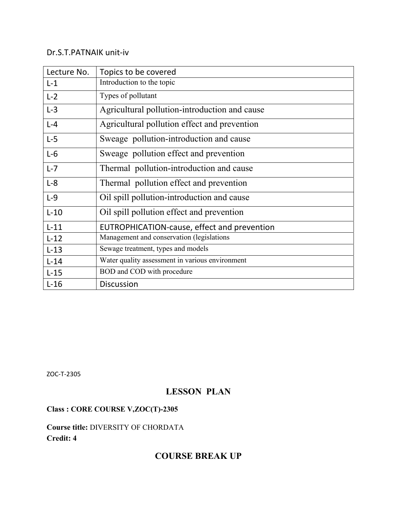#### Dr.S.T.PATNAIK unit‐iv

| Lecture No. | Topics to be covered                            |
|-------------|-------------------------------------------------|
| $L-1$       | Introduction to the topic                       |
| $L-2$       | Types of pollutant                              |
| $L-3$       | Agricultural pollution-introduction and cause   |
| $L - 4$     | Agricultural pollution effect and prevention    |
| $L-5$       | Sweage pollution-introduction and cause         |
| $L-6$       | Sweage pollution effect and prevention          |
| $L - 7$     | Thermal pollution-introduction and cause        |
| $L-8$       | Thermal pollution effect and prevention         |
| $L-9$       | Oil spill pollution-introduction and cause      |
| $L-10$      | Oil spill pollution effect and prevention       |
| $L-11$      | EUTROPHICATION-cause, effect and prevention     |
| $L-12$      | Management and conservation (legislations       |
| $L-13$      | Sewage treatment, types and models              |
| $L-14$      | Water quality assessment in various environment |
| $L-15$      | BOD and COD with procedure                      |
| $L-16$      | <b>Discussion</b>                               |

ZOC‐T‐2305

## **LESSON PLAN**

### **Class : CORE COURSE V,ZOC(T)-2305**

**Course title:** DIVERSITY OF CHORDATA **Credit: 4** 

## **COURSE BREAK UP**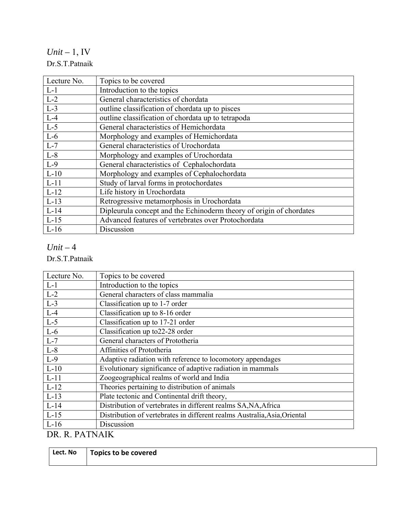*Unit –* 1, IV Dr.S.T.Patnaik

| Lecture No. | Topics to be covered                                                |
|-------------|---------------------------------------------------------------------|
| $L-1$       | Introduction to the topics                                          |
| $L-2$       | General characteristics of chordata                                 |
| $L-3$       | outline classification of chordata up to pisces                     |
| $L-4$       | outline classification of chordata up to tetrapoda                  |
| $L-5$       | General characteristics of Hemichordata                             |
| $L-6$       | Morphology and examples of Hemichordata                             |
| $L-7$       | General characteristics of Urochordata                              |
| $L-8$       | Morphology and examples of Urochordata                              |
| $L-9$       | General characteristics of Cephalochordata                          |
| $L-10$      | Morphology and examples of Cephalochordata                          |
| $L-11$      | Study of larval forms in protochordates                             |
| $L-12$      | Life history in Urochordata                                         |
| $L-13$      | Retrogressive metamorphosis in Urochordata                          |
| $L-14$      | Dipleurula concept and the Echinoderm theory of origin of chordates |
| $L-15$      | Advanced features of vertebrates over Protochordata                 |
| $L-16$      | Discussion                                                          |

### *Unit –* 4

Dr.S.T.Patnaik

| Lecture No.          | Topics to be covered                                                      |
|----------------------|---------------------------------------------------------------------------|
| $L-1$                | Introduction to the topics                                                |
| $L-2$                | General characters of class mammalia                                      |
| $L-3$                | Classification up to 1-7 order                                            |
| $L-4$                | Classification up to 8-16 order                                           |
| $L-5$                | Classification up to 17-21 order                                          |
| $L-6$                | Classification up to 22-28 order                                          |
| $L-7$                | General characters of Prototheria                                         |
| $L-8$                | Affinities of Prototheria                                                 |
| $L-9$                | Adaptive radiation with reference to locomotory appendages                |
| $L-10$               | Evolutionary significance of adaptive radiation in mammals                |
| $L-11$               | Zoogeographical realms of world and India                                 |
| $L-12$               | Theories pertaining to distribution of animals                            |
| $L-13$               | Plate tectonic and Continental drift theory,                              |
| $L-14$               | Distribution of vertebrates in different realms SA, NA, Africa            |
| $L-15$               | Distribution of vertebrates in different realms Australia, Asia, Oriental |
| $L-16$               | Discussion                                                                |
| <i>זוו</i> ות תחת תח |                                                                           |

DR. R. PATNAIK

| Lect. No | Topics to be covered |
|----------|----------------------|
|          |                      |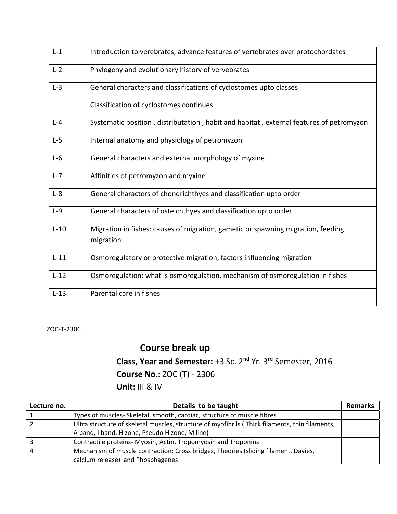| $L-1$   | Introduction to verebrates, advance features of vertebrates over protochordates               |
|---------|-----------------------------------------------------------------------------------------------|
| $L-2$   | Phylogeny and evolutionary history of vervebrates                                             |
| $L-3$   | General characters and classifications of cyclostomes upto classes                            |
|         | Classification of cyclostomes continues                                                       |
| $L - 4$ | Systematic position, distributation, habit and habitat, external features of petromyzon       |
| $L-5$   | Internal anatomy and physiology of petromyzon                                                 |
| $L-6$   | General characters and external morphology of myxine                                          |
| $L-7$   | Affinities of petromyzon and myxine                                                           |
| $L-8$   | General characters of chondrichthyes and classification upto order                            |
| $L-9$   | General characters of osteichthyes and classification upto order                              |
| $L-10$  | Migration in fishes: causes of migration, gametic or spawning migration, feeding<br>migration |
| $L-11$  | Osmoregulatory or protective migration, factors influencing migration                         |
| $L-12$  | Osmoregulation: what is osmoregulation, mechanism of osmoregulation in fishes                 |
| $L-13$  | Parental care in fishes                                                                       |

ZOC‐T‐2306

# **Course break up**

**Class, Year and Semester:** +3 Sc. 2nd Yr. 3rd Semester, 2016

## **Course No.:** ZOC (T) ‐ 2306

**Unit:** III & IV

| Lecture no. | Details to be taught                                                                           | <b>Remarks</b> |
|-------------|------------------------------------------------------------------------------------------------|----------------|
|             | Types of muscles- Skeletal, smooth, cardiac, structure of muscle fibres                        |                |
|             | Ultra structure of skeletal muscles, structure of myofibrils (Thick filaments, thin filaments, |                |
|             | A band, I band, H zone, Pseudo H zone, M line)                                                 |                |
|             | Contractile proteins- Myosin, Actin, Tropomyosin and Troponins                                 |                |
|             | Mechanism of muscle contraction: Cross bridges, Theories (sliding filament, Davies,            |                |
|             | calcium release) and Phosphagenes                                                              |                |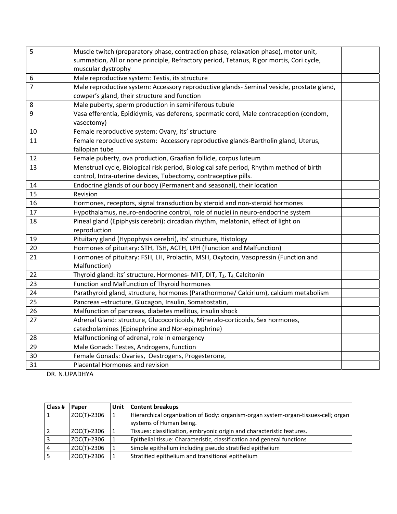| 5  | Muscle twitch (preparatory phase, contraction phase, relaxation phase), motor unit,             |  |
|----|-------------------------------------------------------------------------------------------------|--|
|    | summation, All or none principle, Refractory period, Tetanus, Rigor mortis, Cori cycle,         |  |
|    | muscular dystrophy                                                                              |  |
| 6  | Male reproductive system: Testis, its structure                                                 |  |
| 7  | Male reproductive system: Accessory reproductive glands- Seminal vesicle, prostate gland,       |  |
|    | cowper's gland, their structure and function                                                    |  |
| 8  | Male puberty, sperm production in seminiferous tubule                                           |  |
| 9  | Vasa efferentia, Epididymis, vas deferens, spermatic cord, Male contraception (condom,          |  |
|    | vasectomy)                                                                                      |  |
| 10 | Female reproductive system: Ovary, its' structure                                               |  |
| 11 | Female reproductive system: Accessory reproductive glands-Bartholin gland, Uterus,              |  |
|    | fallopian tube                                                                                  |  |
| 12 | Female puberty, ova production, Graafian follicle, corpus luteum                                |  |
| 13 | Menstrual cycle, Biological risk period, Biological safe period, Rhythm method of birth         |  |
|    | control, Intra-uterine devices, Tubectomy, contraceptive pills.                                 |  |
| 14 | Endocrine glands of our body (Permanent and seasonal), their location                           |  |
| 15 | Revision                                                                                        |  |
| 16 | Hormones, receptors, signal transduction by steroid and non-steroid hormones                    |  |
| 17 | Hypothalamus, neuro-endocrine control, role of nuclei in neuro-endocrine system                 |  |
| 18 | Pineal gland (Epiphysis cerebri): circadian rhythm, melatonin, effect of light on               |  |
|    | reproduction                                                                                    |  |
| 19 | Pituitary gland (Hypophysis cerebri), its' structure, Histology                                 |  |
| 20 | Hormones of pituitary: STH, TSH, ACTH, LPH (Function and Malfunction)                           |  |
| 21 | Hormones of pituitary: FSH, LH, Prolactin, MSH, Oxytocin, Vasopressin (Function and             |  |
|    | Malfunction)                                                                                    |  |
| 22 | Thyroid gland: its' structure, Hormones- MIT, DIT, T <sub>3</sub> , T <sub>4</sub> , Calcitonin |  |
| 23 | Function and Malfunction of Thyroid hormones                                                    |  |
| 24 | Parathyroid gland, structure, hormones (Parathormone/ Calcirium), calcium metabolism            |  |
| 25 | Pancreas-structure, Glucagon, Insulin, Somatostatin,                                            |  |
| 26 | Malfunction of pancreas, diabetes mellitus, insulin shock                                       |  |
| 27 | Adrenal Gland: structure, Glucocorticoids, Mineralo-corticoids, Sex hormones,                   |  |
|    | catecholamines (Epinephrine and Nor-epinephrine)                                                |  |
| 28 | Malfunctioning of adrenal, role in emergency                                                    |  |
| 29 | Male Gonads: Testes, Androgens, function                                                        |  |
| 30 | Female Gonads: Ovaries, Oestrogens, Progesterone,                                               |  |
| 31 | Placental Hormones and revision                                                                 |  |

DR. N.UPADHYA

| Class #        | Paper       | Unit   Content breakups                                                            |
|----------------|-------------|------------------------------------------------------------------------------------|
| $\vert$ 1      | ZOC(T)-2306 | Hierarchical organization of Body: organism-organ system-organ-tissues-cell; organ |
|                |             | systems of Human being.                                                            |
|                | ZOC(T)-2306 | Tissues: classification, embryonic origin and characteristic features.             |
|                | ZOC(T)-2306 | Epithelial tissue: Characteristic, classification and general functions            |
| $\overline{4}$ | ZOC(T)-2306 | Simple epithelium including pseudo stratified epithelium                           |
|                | ZOC(T)-2306 | Stratified epithelium and transitional epithelium                                  |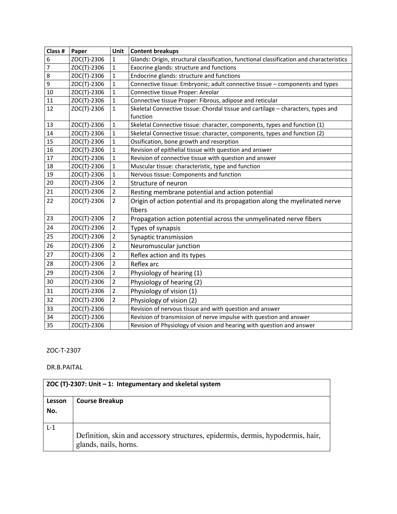| Class #        | Paper       | Unit           | <b>Content breakups</b>                                                                  |
|----------------|-------------|----------------|------------------------------------------------------------------------------------------|
| 6              | ZOC(T)-2306 | 1              | Glands: Origin, structural classification, functional classification and characteristics |
| $\overline{7}$ | ZOC(T)-2306 | $\mathbf{1}$   | Exocrine glands: structure and functions                                                 |
| 8              | ZOC(T)-2306 | $\mathbf{1}$   | Endocrine glands: structure and functions                                                |
| 9              | ZOC(T)-2306 | $\mathbf{1}$   | Connective tissue: Embryonic; adult connective tissue - components and types             |
| 10             | ZOC(T)-2306 | $\mathbf{1}$   | Connective tissue Proper: Areolar                                                        |
| 11             | ZOC(T)-2306 | 1              | Connective tissue Proper: Fibrous, adipose and reticular                                 |
| 12             | ZOC(T)-2306 | $\mathbf{1}$   | Skeletal Connective tissue: Chordal tissue and cartilage - characters, types and         |
|                |             |                | function                                                                                 |
| 13             | ZOC(T)-2306 | $\mathbf{1}$   | Skeletal Connective tissue: character, components, types and function (1)                |
| 14             | ZOC(T)-2306 | $\mathbf{1}$   | Skeletal Connective tissue: character, components, types and function (2)                |
| 15             | ZOC(T)-2306 | 1              | Ossification, bone growth and resorption                                                 |
| 16             | ZOC(T)-2306 | 1              | Revision of epithelial tissue with question and answer                                   |
| 17             | ZOC(T)-2306 | 1              | Revision of connective tissue with question and answer                                   |
| 18             | ZOC(T)-2306 | 1              | Muscular tissue: characteristic, type and function                                       |
| 19             | ZOC(T)-2306 | $\mathbf{1}$   | Nervous tissue: Components and function                                                  |
| 20             | ZOC(T)-2306 | $\overline{2}$ | Structure of neuron                                                                      |
| 21             | ZOC(T)-2306 | $\overline{2}$ | Resting membrane potential and action potential                                          |
| 22             | ZOC(T)-2306 | $\overline{2}$ | Origin of action potential and its propagation along the myelinated nerve                |
|                |             |                | fibers                                                                                   |
| 23             | ZOC(T)-2306 | $\overline{2}$ | Propagation action potential across the unmyelinated nerve fibers                        |
| 24             | ZOC(T)-2306 | $\overline{2}$ | Types of synapsis                                                                        |
| 25             | ZOC(T)-2306 | $\overline{2}$ | Synaptic transmission                                                                    |
| 26             | ZOC(T)-2306 | $\overline{2}$ | Neuromuscular junction                                                                   |
| 27             | ZOC(T)-2306 | $\overline{2}$ | Reflex action and its types                                                              |
| 28             | ZOC(T)-2306 | $\overline{2}$ | Reflex arc                                                                               |
| 29             | ZOC(T)-2306 | $\overline{2}$ | Physiology of hearing (1)                                                                |
| 30             | ZOC(T)-2306 | $\overline{2}$ | Physiology of hearing (2)                                                                |
| 31             | ZOC(T)-2306 | $\overline{2}$ | Physiology of vision (1)                                                                 |
| 32             | ZOC(T)-2306 | $\overline{2}$ | Physiology of vision (2)                                                                 |
| 33             | ZOC(T)-2306 |                | Revision of nervous tissue and with question and answer                                  |
| 34             | ZOC(T)-2306 |                | Revision of transmission of nerve impulse with question and answer                       |
| 35             | ZOC(T)-2306 |                | Revision of Physiology of vision and hearing with question and answer                    |

#### ZOC‐T‐2307

#### DR.B.PAITAL

|        | ZOC (T)-2307: Unit - 1: Integumentary and skeletal system                                                |  |  |
|--------|----------------------------------------------------------------------------------------------------------|--|--|
| Lesson | <b>Course Breakup</b>                                                                                    |  |  |
| No.    |                                                                                                          |  |  |
|        |                                                                                                          |  |  |
| $L-1$  |                                                                                                          |  |  |
|        | Definition, skin and accessory structures, epidermis, dermis, hypodermis, hair,<br>glands, nails, horns. |  |  |
|        |                                                                                                          |  |  |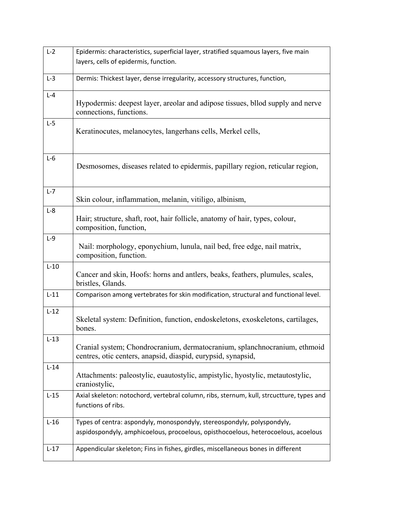| $L-2$   | Epidermis: characteristics, superficial layer, stratified squamous layers, five main               |
|---------|----------------------------------------------------------------------------------------------------|
|         | layers, cells of epidermis, function.                                                              |
|         |                                                                                                    |
| $L-3$   | Dermis: Thickest layer, dense irregularity, accessory structures, function,                        |
| $L - 4$ |                                                                                                    |
|         | Hypodermis: deepest layer, areolar and adipose tissues, bllod supply and nerve                     |
|         | connections, functions.                                                                            |
| $L-5$   | Keratinocutes, melanocytes, langerhans cells, Merkel cells,                                        |
|         |                                                                                                    |
|         |                                                                                                    |
| $L-6$   |                                                                                                    |
|         | Desmosomes, diseases related to epidermis, papillary region, reticular region,                     |
|         |                                                                                                    |
| $L-7$   |                                                                                                    |
|         | Skin colour, inflammation, melanin, vitiligo, albinism,                                            |
| $L-8$   | Hair; structure, shaft, root, hair follicle, anatomy of hair, types, colour,                       |
|         | composition, function,                                                                             |
| $L-9$   |                                                                                                    |
|         | Nail: morphology, eponychium, lunula, nail bed, free edge, nail matrix,                            |
|         | composition, function.                                                                             |
| $L-10$  |                                                                                                    |
|         | Cancer and skin, Hoofs: horns and antlers, beaks, feathers, plumules, scales,<br>bristles, Glands. |
|         |                                                                                                    |
| $L-11$  | Comparison among vertebrates for skin modification, structural and functional level.               |
| $L-12$  |                                                                                                    |
|         | Skeletal system: Definition, function, endoskeletons, exoskeletons, cartilages,                    |
|         | bones.                                                                                             |
| $L-13$  | Cranial system; Chondrocranium, dermatocranium, splanchnocranium, ethmoid                          |
|         | centres, otic centers, anapsid, diaspid, eurypsid, synapsid,                                       |
| $L-14$  |                                                                                                    |
|         | Attachments: paleostylic, euautostylic, ampistylic, hyostylic, metautostylic,                      |
|         | craniostylic,                                                                                      |
| $L-15$  | Axial skeleton: notochord, vertebral column, ribs, sternum, kull, strcuctture, types and           |
|         | functions of ribs.                                                                                 |
| $L-16$  | Types of centra: aspondyly, monospondyly, stereospondyly, polyspondyly,                            |
|         | aspidospondyly, amphicoelous, procoelous, opisthocoelous, heterocoelous, acoelous                  |
|         |                                                                                                    |
| $L-17$  | Appendicular skeleton; Fins in fishes, girdles, miscellaneous bones in different                   |
|         |                                                                                                    |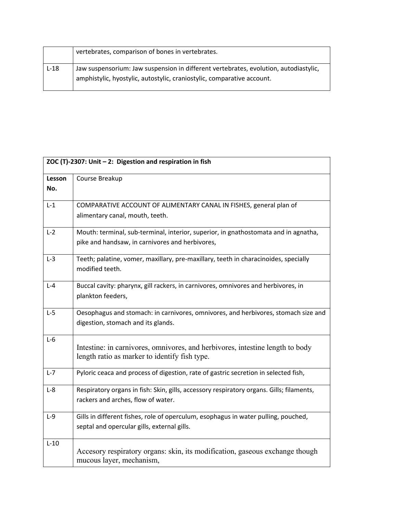|        | vertebrates, comparison of bones in vertebrates.                                     |
|--------|--------------------------------------------------------------------------------------|
| $L-18$ | Jaw suspensorium: Jaw suspension in different vertebrates, evolution, autodiastylic, |
|        | amphistylic, hyostylic, autostylic, craniostylic, comparative account.               |

|               | ZOC (T)-2307: Unit - 2: Digestion and respiration in fish                                                                              |
|---------------|----------------------------------------------------------------------------------------------------------------------------------------|
| Lesson<br>No. | Course Breakup                                                                                                                         |
| $L-1$         | COMPARATIVE ACCOUNT OF ALIMENTARY CANAL IN FISHES, general plan of<br>alimentary canal, mouth, teeth.                                  |
| $L-2$         | Mouth: terminal, sub-terminal, interior, superior, in gnathostomata and in agnatha,<br>pike and handsaw, in carnivores and herbivores, |
| $L-3$         | Teeth; palatine, vomer, maxillary, pre-maxillary, teeth in characinoides, specially<br>modified teeth.                                 |
| $L - 4$       | Buccal cavity: pharynx, gill rackers, in carnivores, omnivores and herbivores, in<br>plankton feeders,                                 |
| $L-5$         | Oesophagus and stomach: in carnivores, omnivores, and herbivores, stomach size and<br>digestion, stomach and its glands.               |
| $L-6$         | Intestine: in carnivores, omnivores, and herbivores, intestine length to body<br>length ratio as marker to identify fish type.         |
| $L-7$         | Pyloric ceaca and process of digestion, rate of gastric secretion in selected fish,                                                    |
| $L-8$         | Respiratory organs in fish: Skin, gills, accessory respiratory organs. Gills; filaments,<br>rackers and arches, flow of water.         |
| $L-9$         | Gills in different fishes, role of operculum, esophagus in water pulling, pouched,<br>septal and opercular gills, external gills.      |
| $L-10$        | Accesory respiratory organs: skin, its modification, gaseous exchange though<br>mucous layer, mechanism,                               |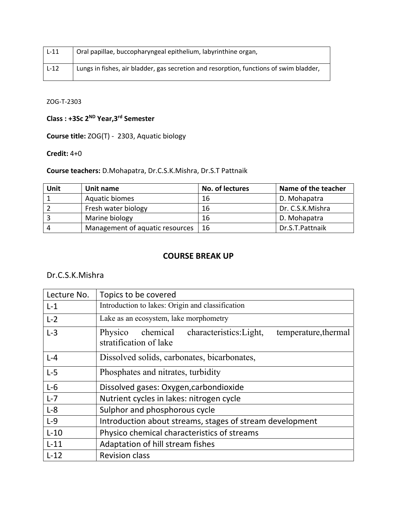| $L-11$ | Oral papillae, buccopharyngeal epithelium, labyrinthine organ,                         |
|--------|----------------------------------------------------------------------------------------|
| $L-12$ | Lungs in fishes, air bladder, gas secretion and resorption, functions of swim bladder, |

ZOG‐T‐2303

**Class : +3Sc 2ND Year,3rd Semester** 

**Course title:** ZOG(T) ‐ 2303, Aquatic biology

#### **Credit:** 4+0

**Course teachers:** D.Mohapatra, Dr.C.S.K.Mishra, Dr.S.T Pattnaik

| Unit | Unit name                       | No. of lectures | Name of the teacher |
|------|---------------------------------|-----------------|---------------------|
|      | Aquatic biomes                  | 16              | D. Mohapatra        |
|      | Fresh water biology             | 16              | Dr. C.S.K.Mishra    |
|      | Marine biology                  | 16              | D. Mohapatra        |
| Δ    | Management of aquatic resources | -16             | Dr.S.T.Pattnaik     |

## **COURSE BREAK UP**

#### Dr.C.S.K.Mishra

| Lecture No. | Topics to be covered                                                                             |
|-------------|--------------------------------------------------------------------------------------------------|
| $L-1$       | Introduction to lakes: Origin and classification                                                 |
| $L-2$       | Lake as an ecosystem, lake morphometry                                                           |
| $L-3$       | characteristics: Light,<br>chemical<br>Physico<br>temperature, thermal<br>stratification of lake |
| $L - 4$     | Dissolved solids, carbonates, bicarbonates,                                                      |
| $L-5$       | Phosphates and nitrates, turbidity                                                               |
| $L-6$       | Dissolved gases: Oxygen, carbondioxide                                                           |
| $L-7$       | Nutrient cycles in lakes: nitrogen cycle                                                         |
| $L-8$       | Sulphor and phosphorous cycle                                                                    |
| $L-9$       | Introduction about streams, stages of stream development                                         |
| $L-10$      | Physico chemical characteristics of streams                                                      |
| $L-11$      | Adaptation of hill stream fishes                                                                 |
| $L-12$      | <b>Revision class</b>                                                                            |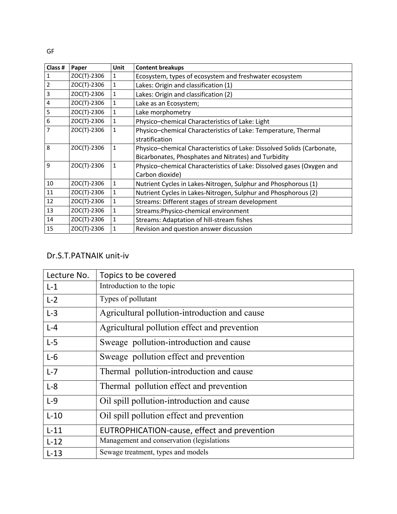| Class #        | Paper       | <b>Unit</b>  | <b>Content breakups</b>                                                |
|----------------|-------------|--------------|------------------------------------------------------------------------|
| 1              | ZOC(T)-2306 | 1            | Ecosystem, types of ecosystem and freshwater ecosystem                 |
| $\overline{2}$ | ZOC(T)-2306 | $\mathbf{1}$ | Lakes: Origin and classification (1)                                   |
| 3              | ZOC(T)-2306 | $\mathbf{1}$ | Lakes: Origin and classification (2)                                   |
| 4              | ZOC(T)-2306 | $\mathbf{1}$ | Lake as an Ecosystem;                                                  |
| 5              | ZOC(T)-2306 | $\mathbf{1}$ | Lake morphometry                                                       |
| 6              | ZOC(T)-2306 | 1            | Physico-chemical Characteristics of Lake: Light                        |
| 7              | ZOC(T)-2306 |              | Physico-chemical Characteristics of Lake: Temperature, Thermal         |
|                |             |              | stratification                                                         |
| 8              | ZOC(T)-2306 | 1            | Physico-chemical Characteristics of Lake: Dissolved Solids (Carbonate, |
|                |             |              | Bicarbonates, Phosphates and Nitrates) and Turbidity                   |
| 9              | ZOC(T)-2306 | 1            | Physico-chemical Characteristics of Lake: Dissolved gases (Oxygen and  |
|                |             |              | Carbon dioxide)                                                        |
| 10             | ZOC(T)-2306 | $\mathbf{1}$ | Nutrient Cycles in Lakes-Nitrogen, Sulphur and Phosphorous (1)         |
| 11             | ZOC(T)-2306 | 1            | Nutrient Cycles in Lakes-Nitrogen, Sulphur and Phosphorous (2)         |
| 12             | ZOC(T)-2306 | 1            | Streams: Different stages of stream development                        |
| 13             | ZOC(T)-2306 | 1            | Streams: Physico-chemical environment                                  |
| 14             | ZOC(T)-2306 |              | Streams: Adaptation of hill-stream fishes                              |
| 15             | ZOC(T)-2306 |              | Revision and question answer discussion                                |

## Dr.S.T.PATNAIK unit‐iv

| Lecture No. | Topics to be covered                          |
|-------------|-----------------------------------------------|
| $L-1$       | Introduction to the topic                     |
| $L-2$       | Types of pollutant                            |
| $L-3$       | Agricultural pollution-introduction and cause |
| $L - 4$     | Agricultural pollution effect and prevention  |
| $L-5$       | Sweage pollution-introduction and cause       |
| $L-6$       | Sweage pollution effect and prevention        |
| $L - 7$     | Thermal pollution-introduction and cause      |
| $L-8$       | Thermal pollution effect and prevention       |
| $L-9$       | Oil spill pollution-introduction and cause    |
| $L-10$      | Oil spill pollution effect and prevention     |
| $L-11$      | EUTROPHICATION-cause, effect and prevention   |
| $L-12$      | Management and conservation (legislations     |
| $L-13$      | Sewage treatment, types and models            |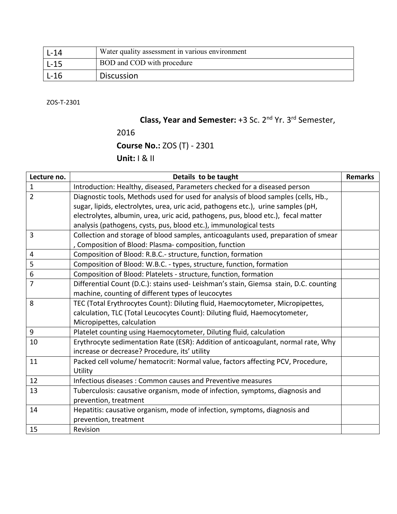| L-14 | Water quality assessment in various environment |
|------|-------------------------------------------------|
| L-15 | BOD and COD with procedure                      |
| L-16 | <b>Discussion</b>                               |

ZOS‐T‐2301

# **Class, Year and Semester:** +3 Sc. 2nd Yr. 3rd Semester,

2016

**Course No.:** ZOS (T) ‐ 2301

**Unit:** I & II

| Lecture no.    | Details to be taught                                                                 | <b>Remarks</b> |
|----------------|--------------------------------------------------------------------------------------|----------------|
| $\mathbf{1}$   | Introduction: Healthy, diseased, Parameters checked for a diseased person            |                |
| $\overline{2}$ | Diagnostic tools, Methods used for used for analysis of blood samples (cells, Hb.,   |                |
|                | sugar, lipids, electrolytes, urea, uric acid, pathogens etc.), urine samples (pH,    |                |
|                | electrolytes, albumin, urea, uric acid, pathogens, pus, blood etc.), fecal matter    |                |
|                | analysis (pathogens, cysts, pus, blood etc.), immunological tests                    |                |
| 3              | Collection and storage of blood samples, anticoagulants used, preparation of smear   |                |
|                | , Composition of Blood: Plasma-composition, function                                 |                |
| 4              | Composition of Blood: R.B.C.- structure, function, formation                         |                |
| 5              | Composition of Blood: W.B.C. - types, structure, function, formation                 |                |
| 6              | Composition of Blood: Platelets - structure, function, formation                     |                |
| 7              | Differential Count (D.C.): stains used-Leishman's stain, Giemsa stain, D.C. counting |                |
|                | machine, counting of different types of leucocytes                                   |                |
| 8              | TEC (Total Erythrocytes Count): Diluting fluid, Haemocytometer, Micropipettes,       |                |
|                | calculation, TLC (Total Leucocytes Count): Diluting fluid, Haemocytometer,           |                |
|                | Micropipettes, calculation                                                           |                |
| 9              | Platelet counting using Haemocytometer, Diluting fluid, calculation                  |                |
| 10             | Erythrocyte sedimentation Rate (ESR): Addition of anticoagulant, normal rate, Why    |                |
|                | increase or decrease? Procedure, its' utility                                        |                |
| 11             | Packed cell volume/ hematocrit: Normal value, factors affecting PCV, Procedure,      |                |
|                | Utility                                                                              |                |
| 12             | Infectious diseases: Common causes and Preventive measures                           |                |
| 13             | Tuberculosis: causative organism, mode of infection, symptoms, diagnosis and         |                |
|                | prevention, treatment                                                                |                |
| 14             | Hepatitis: causative organism, mode of infection, symptoms, diagnosis and            |                |
|                | prevention, treatment                                                                |                |
| 15             | Revision                                                                             |                |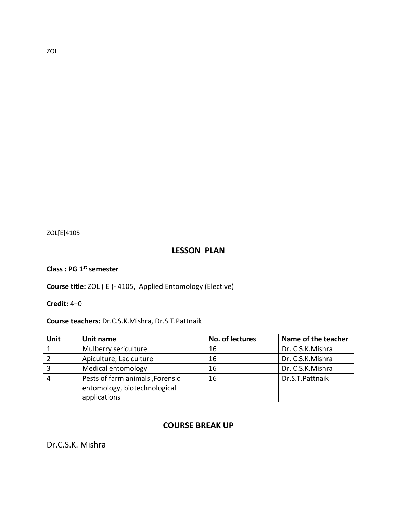ZOL[E]4105

### **LESSON PLAN**

**Class : PG 1st semester** 

**Course title:** ZOL ( E )‐ 4105, Applied Entomology (Elective)

**Credit:** 4+0

**Course teachers:** Dr.C.S.K.Mishra, Dr.S.T.Pattnaik

| Unit | Unit name                                                                       | No. of lectures | Name of the teacher |
|------|---------------------------------------------------------------------------------|-----------------|---------------------|
|      | Mulberry sericulture                                                            | 16              | Dr. C.S.K.Mishra    |
|      | Apiculture, Lac culture                                                         | 16              | Dr. C.S.K.Mishra    |
|      | Medical entomology                                                              | 16              | Dr. C.S.K.Mishra    |
|      | Pests of farm animals, Forensic<br>entomology, biotechnological<br>applications | 16              | Dr.S.T.Pattnaik     |

#### **COURSE BREAK UP**

Dr.C.S.K. Mishra

ZOL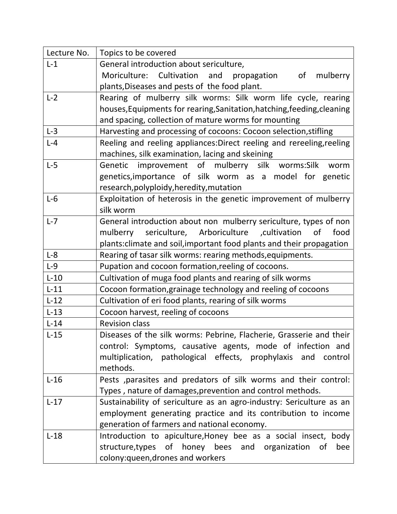| Lecture No. | Topics to be covered                                                    |
|-------------|-------------------------------------------------------------------------|
| $L-1$       | General introduction about sericulture,                                 |
|             | Moriculture: Cultivation and<br>mulberry<br>propagation<br>of           |
|             | plants, Diseases and pests of the food plant.                           |
| $L-2$       | Rearing of mulberry silk worms: Silk worm life cycle, rearing           |
|             | houses, Equipments for rearing, Sanitation, hatching, feeding, cleaning |
|             | and spacing, collection of mature worms for mounting                    |
| $L-3$       | Harvesting and processing of cocoons: Cocoon selection, stifling        |
| $L - 4$     | Reeling and reeling appliances: Direct reeling and rereeling, reeling   |
|             | machines, silk examination, lacing and skeining                         |
| $L-5$       | Genetic improvement of mulberry silk worms: Silk<br>worm                |
|             | genetics, importance of silk worm as a model for genetic                |
|             | research, polyploidy, heredity, mutation                                |
| $L-6$       | Exploitation of heterosis in the genetic improvement of mulberry        |
|             | silk worm                                                               |
| $L - 7$     | General introduction about non mulberry sericulture, types of non       |
|             | sericulture, Arboriculture , cultivation of<br>food<br>mulberry         |
|             | plants: climate and soil, important food plants and their propagation   |
| $L-8$       | Rearing of tasar silk worms: rearing methods, equipments.               |
| $L-9$       | Pupation and cocoon formation, reeling of cocoons.                      |
| $L-10$      | Cultivation of muga food plants and rearing of silk worms               |
| $L-11$      | Cocoon formation, grainage technology and reeling of cocoons            |
| $L-12$      | Cultivation of eri food plants, rearing of silk worms                   |
| $L-13$      | Cocoon harvest, reeling of cocoons                                      |
| $L-14$      | <b>Revision class</b>                                                   |
| $L-15$      | Diseases of the silk worms: Pebrine, Flacherie, Grasserie and their     |
|             | control: Symptoms, causative agents, mode of infection and              |
|             | multiplication, pathological effects, prophylaxis and control           |
|             | methods.                                                                |
| $L-16$      | Pests , parasites and predators of silk worms and their control:        |
|             | Types, nature of damages, prevention and control methods.               |
| $L-17$      | Sustainability of sericulture as an agro-industry: Sericulture as an    |
|             | employment generating practice and its contribution to income           |
|             | generation of farmers and national economy.                             |
| $L-18$      | Introduction to apiculture, Honey bee as a social insect, body          |
|             | structure, types of honey bees and organization of<br>bee               |
|             | colony: queen, drones and workers                                       |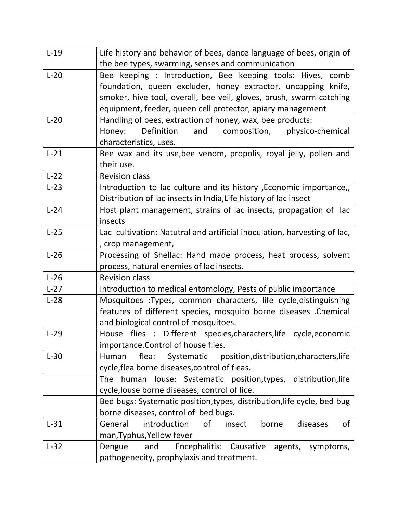| $L-19$ | Life history and behavior of bees, dance language of bees, origin of     |
|--------|--------------------------------------------------------------------------|
|        | the bee types, swarming, senses and communication                        |
| $L-20$ | Bee keeping : Introduction, Bee keeping tools: Hives, comb               |
|        | foundation, queen excluder, honey extractor, uncapping knife,            |
|        | smoker, hive tool, overall, bee veil, gloves, brush, swarm catching      |
|        | equipment, feeder, queen cell protector, apiary management               |
| $L-20$ | Handling of bees, extraction of honey, wax, bee products:                |
|        | Honey:<br>Definition<br>and<br>composition, physico-chemical             |
|        | characteristics, uses.                                                   |
| $L-21$ | Bee wax and its use, bee venom, propolis, royal jelly, pollen and        |
|        | their use.                                                               |
| $L-22$ | <b>Revision class</b>                                                    |
| $L-23$ | Introduction to lac culture and its history , Economic importance,       |
|        | Distribution of lac insects in India, Life history of lac insect         |
| $L-24$ | Host plant management, strains of lac insects, propagation of lac        |
|        | insects                                                                  |
| $L-25$ | Lac cultivation: Natutral and artificial inoculation, harvesting of lac, |
|        | , crop management,                                                       |
| $L-26$ | Processing of Shellac: Hand made process, heat process, solvent          |
|        | process, natural enemies of lac insects.                                 |
| $L-26$ | <b>Revision class</b>                                                    |
| $L-27$ | Introduction to medical entomology, Pests of public importance           |
| $L-28$ | Mosquitoes :Types, common characters, life cycle, distinguishing         |
|        | features of different species, mosquito borne diseases . Chemical        |
|        | and biological control of mosquitoes.                                    |
| $L-29$ | House flies : Different species, characters, life cycle, economic        |
|        | importance.Control of house flies.                                       |
| $L-30$ | flea:<br>Systematic position, distribution, characters, life<br>Human    |
|        | cycle, flea borne diseases, control of fleas.                            |
|        | The human louse: Systematic position, types, distribution, life          |
|        | cycle, louse borne diseases, control of lice.                            |
|        | Bed bugs: Systematic position, types, distribution, life cycle, bed bug  |
|        | borne diseases, control of bed bugs.                                     |
| $L-31$ | introduction<br>General<br>insect<br>borne<br>diseases<br>of<br>0f       |
|        | man, Typhus, Yellow fever                                                |
| $L-32$ | Dengue<br>and<br>Encephalitis: Causative<br>agents, symptoms,            |
|        | pathogenecity, prophylaxis and treatment.                                |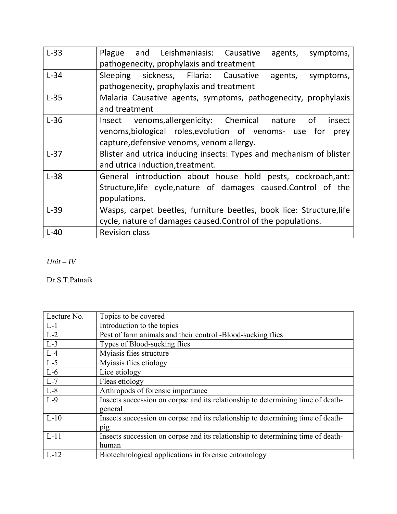| $L-33$ | Plague and Leishmaniasis: Causative<br>agents, symptoms,<br>pathogenecity, prophylaxis and treatment                                                                      |
|--------|---------------------------------------------------------------------------------------------------------------------------------------------------------------------------|
| $L-34$ | Sleeping sickness, Filaria: Causative<br>agents,<br>symptoms,<br>pathogenecity, prophylaxis and treatment                                                                 |
| $L-35$ | Malaria Causative agents, symptoms, pathogenecity, prophylaxis<br>and treatment                                                                                           |
| $L-36$ | Insect venoms, allergenicity: Chemical nature of<br>insect<br>venoms, biological roles, evolution of venoms- use for<br>prey<br>capture, defensive venoms, venom allergy. |
| $L-37$ | Blister and utrica inducing insects: Types and mechanism of blister<br>and utrica induction, treatment.                                                                   |
| $L-38$ | General introduction about house hold pests, cockroach, ant:<br>Structure, life cycle, nature of damages caused. Control of the<br>populations.                           |
| $L-39$ | Wasps, carpet beetles, furniture beetles, book lice: Structure, life<br>cycle, nature of damages caused. Control of the populations.                                      |
| $L-40$ | <b>Revision class</b>                                                                                                                                                     |

*Unit – IV* 

Dr.S.T.Patnaik

| Lecture No. | Topics to be covered                                                            |
|-------------|---------------------------------------------------------------------------------|
| $L-1$       | Introduction to the topics                                                      |
| $L-2$       | Pest of farm animals and their control -Blood-sucking flies                     |
| $L-3$       | Types of Blood-sucking flies                                                    |
| $L-4$       | Myiasis flies structure                                                         |
| $L-5$       | Myiasis flies etiology                                                          |
| $L-6$       | Lice etiology                                                                   |
| $L-7$       | Fleas etiology                                                                  |
| $L-8$       | Arthropods of forensic importance                                               |
| $L-9$       | Insects succession on corpse and its relationship to determining time of death- |
|             | general                                                                         |
| $L-10$      | Insects succession on corpse and its relationship to determining time of death- |
|             | pig                                                                             |
| $L-11$      | Insects succession on corpse and its relationship to determining time of death- |
|             | human                                                                           |
| $L-12$      | Biotechnological applications in forensic entomology                            |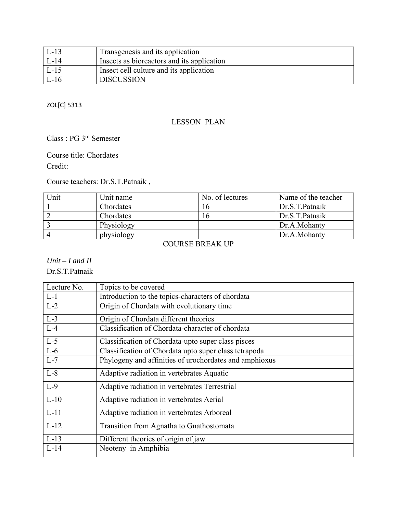| $\mathsf{L}\text{-}13$ | Transgenesis and its application           |
|------------------------|--------------------------------------------|
| L-14                   | Insects as bioreactors and its application |
| $L-15$                 | Insect cell culture and its application    |
| $-L-16$                | <b>DISCUSSION</b>                          |

#### ZOL[C] 5313

#### LESSON PLAN

## Class : PG 3rd Semester

#### Course title: Chordates

Credit:

Course teachers: Dr.S.T.Patnaik ,

| Unit | Unit name  | No. of lectures | Name of the teacher |
|------|------------|-----------------|---------------------|
|      | Chordates  | $\sigma$        | Dr.S.T.Patnaik      |
|      | Chordates  | $\mathfrak b$   | Dr.S.T.Patnaik      |
|      | Physiology |                 | Dr.A.Mohanty        |
|      | physiology |                 | Dr.A.Mohanty        |
|      |            |                 |                     |

#### COURSE BREAK UP

### *Unit – I and II*

Dr.S.T.Patnaik

| Lecture No. | Topics to be covered                                   |
|-------------|--------------------------------------------------------|
| $L-1$       | Introduction to the topics-characters of chordata      |
| $L-2$       | Origin of Chordata with evolutionary time              |
| $L-3$       | Origin of Chordata different theories                  |
| $L-4$       | Classification of Chordata-character of chordata       |
| $L-5$       | Classification of Chordata-upto super class pisces     |
| $L-6$       | Classification of Chordata upto super class tetrapoda  |
| $L-7$       | Phylogeny and affinities of urochordates and amphioxus |
| $L-8$       | Adaptive radiation in vertebrates Aquatic              |
| $L-9$       | Adaptive radiation in vertebrates Terrestrial          |
| $L-10$      | Adaptive radiation in vertebrates Aerial               |
| $L-11$      | Adaptive radiation in vertebrates Arboreal             |
| $L-12$      | Transition from Agnatha to Gnathostomata               |
| $L-13$      | Different theories of origin of jaw                    |
| $L-14$      | Neoteny in Amphibia                                    |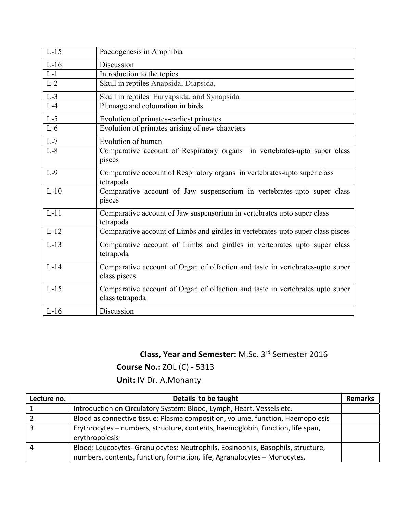| $L-15$ | Paedogenesis in Amphibia                                                                         |
|--------|--------------------------------------------------------------------------------------------------|
| $L-16$ | Discussion                                                                                       |
| $L-1$  | Introduction to the topics                                                                       |
| $L-2$  | Skull in reptiles Anapsida, Diapsida,                                                            |
| $L-3$  | Skull in reptiles Euryapsida, and Synapsida                                                      |
| $L-4$  | Plumage and colouration in birds                                                                 |
| $L-5$  | Evolution of primates-earliest primates                                                          |
| $L-6$  | Evolution of primates-arising of new chaacters                                                   |
| $L-7$  | Evolution of human                                                                               |
| $L-8$  | Comparative account of Respiratory organs<br>in vertebrates-upto super class<br>pisces           |
| $L-9$  | Comparative account of Respiratory organs in vertebrates-upto super class<br>tetrapoda           |
| $L-10$ | Comparative account of Jaw suspensorium in vertebrates-upto super class<br>pisces                |
| $L-11$ | Comparative account of Jaw suspensorium in vertebrates upto super class<br>tetrapoda             |
| $L-12$ | Comparative account of Limbs and girdles in vertebrates-upto super class pisces                  |
| $L-13$ | Comparative account of Limbs and girdles in vertebrates upto super class<br>tetrapoda            |
| $L-14$ | Comparative account of Organ of olfaction and taste in vertebrates-upto super<br>class pisces    |
| $L-15$ | Comparative account of Organ of olfaction and taste in vertebrates upto super<br>class tetrapoda |
| $L-16$ | Discussion                                                                                       |

# **Class, Year and Semester:** M.Sc. 3rd Semester 2016

**Course No.:** ZOL (C) ‐ 5313

**Unit:** IV Dr. A.Mohanty

| Lecture no. | Details to be taught                                                             | <b>Remarks</b> |
|-------------|----------------------------------------------------------------------------------|----------------|
|             | Introduction on Circulatory System: Blood, Lymph, Heart, Vessels etc.            |                |
|             | Blood as connective tissue: Plasma composition, volume, function, Haemopoiesis   |                |
|             | Erythrocytes - numbers, structure, contents, haemoglobin, function, life span,   |                |
|             | erythropoiesis                                                                   |                |
| 4           | Blood: Leucocytes- Granulocytes: Neutrophils, Eosinophils, Basophils, structure, |                |
|             | numbers, contents, function, formation, life, Agranulocytes - Monocytes,         |                |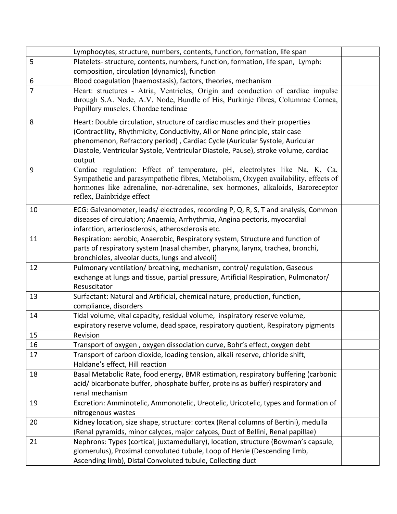|    | Lymphocytes, structure, numbers, contents, function, formation, life span                                                                                                                                                                                                                                                                    |  |
|----|----------------------------------------------------------------------------------------------------------------------------------------------------------------------------------------------------------------------------------------------------------------------------------------------------------------------------------------------|--|
| 5  | Platelets- structure, contents, numbers, function, formation, life span, Lymph:                                                                                                                                                                                                                                                              |  |
|    | composition, circulation (dynamics), function                                                                                                                                                                                                                                                                                                |  |
| 6  | Blood coagulation (haemostasis), factors, theories, mechanism                                                                                                                                                                                                                                                                                |  |
| 7  | Heart: structures - Atria, Ventricles, Origin and conduction of cardiac impulse<br>through S.A. Node, A.V. Node, Bundle of His, Purkinje fibres, Columnae Cornea,<br>Papillary muscles, Chordae tendinae                                                                                                                                     |  |
| 8  | Heart: Double circulation, structure of cardiac muscles and their properties<br>(Contractility, Rhythmicity, Conductivity, All or None principle, stair case<br>phenomenon, Refractory period), Cardiac Cycle (Auricular Systole, Auricular<br>Diastole, Ventricular Systole, Ventricular Diastole, Pause), stroke volume, cardiac<br>output |  |
| 9  | Cardiac regulation: Effect of temperature, pH, electrolytes like Na, K, Ca,<br>Sympathetic and parasympathetic fibres, Metabolism, Oxygen availability, effects of<br>hormones like adrenaline, nor-adrenaline, sex hormones, alkaloids, Baroreceptor<br>reflex, Bainbridge effect                                                           |  |
| 10 | ECG: Galvanometer, leads/electrodes, recording P, Q, R, S, T and analysis, Common<br>diseases of circulation; Anaemia, Arrhythmia, Angina pectoris, myocardial<br>infarction, arteriosclerosis, atherosclerosis etc.                                                                                                                         |  |
| 11 | Respiration: aerobic, Anaerobic, Respiratory system, Structure and function of<br>parts of respiratory system (nasal chamber, pharynx, larynx, trachea, bronchi,<br>bronchioles, alveolar ducts, lungs and alveoli)                                                                                                                          |  |
| 12 | Pulmonary ventilation/ breathing, mechanism, control/ regulation, Gaseous<br>exchange at lungs and tissue, partial pressure, Artificial Respiration, Pulmonator/<br>Resuscitator                                                                                                                                                             |  |
| 13 | Surfactant: Natural and Artificial, chemical nature, production, function,<br>compliance, disorders                                                                                                                                                                                                                                          |  |
| 14 | Tidal volume, vital capacity, residual volume, inspiratory reserve volume,<br>expiratory reserve volume, dead space, respiratory quotient, Respiratory pigments                                                                                                                                                                              |  |
| 15 | Revision                                                                                                                                                                                                                                                                                                                                     |  |
| 16 | Transport of oxygen, oxygen dissociation curve, Bohr's effect, oxygen debt                                                                                                                                                                                                                                                                   |  |
| 17 | Transport of carbon dioxide, loading tension, alkali reserve, chloride shift,<br>Haldane's effect, Hill reaction                                                                                                                                                                                                                             |  |
| 18 | Basal Metabolic Rate, food energy, BMR estimation, respiratory buffering (carbonic<br>acid/bicarbonate buffer, phosphate buffer, proteins as buffer) respiratory and<br>renal mechanism                                                                                                                                                      |  |
| 19 | Excretion: Amminotelic, Ammonotelic, Ureotelic, Uricotelic, types and formation of<br>nitrogenous wastes                                                                                                                                                                                                                                     |  |
| 20 | Kidney location, size shape, structure: cortex (Renal columns of Bertini), medulla<br>(Renal pyramids, minor calyces, major calyces, Duct of Bellini, Renal papillae)                                                                                                                                                                        |  |
| 21 | Nephrons: Types (cortical, juxtamedullary), location, structure (Bowman's capsule,<br>glomerulus), Proximal convoluted tubule, Loop of Henle (Descending limb,<br>Ascending limb), Distal Convoluted tubule, Collecting duct                                                                                                                 |  |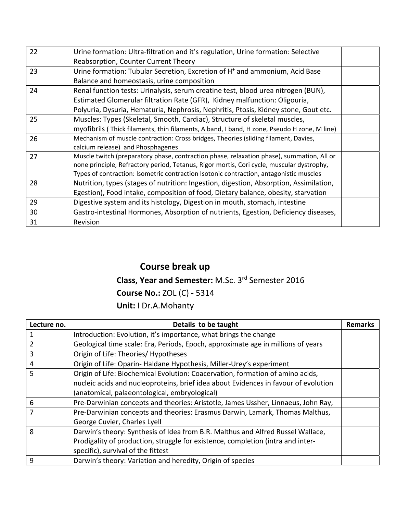| 22 | Urine formation: Ultra-filtration and it's regulation, Urine formation: Selective           |  |
|----|---------------------------------------------------------------------------------------------|--|
|    | Reabsorption, Counter Current Theory                                                        |  |
| 23 | Urine formation: Tubular Secretion, Excretion of H <sup>+</sup> and ammonium, Acid Base     |  |
|    | Balance and homeostasis, urine composition                                                  |  |
| 24 | Renal function tests: Urinalysis, serum creatine test, blood urea nitrogen (BUN),           |  |
|    | Estimated Glomerular filtration Rate (GFR), Kidney malfunction: Oligouria,                  |  |
|    | Polyuria, Dysuria, Hematuria, Nephrosis, Nephritis, Ptosis, Kidney stone, Gout etc.         |  |
| 25 | Muscles: Types (Skeletal, Smooth, Cardiac), Structure of skeletal muscles,                  |  |
|    | myofibrils (Thick filaments, thin filaments, A band, I band, H zone, Pseudo H zone, M line) |  |
| 26 | Mechanism of muscle contraction: Cross bridges, Theories (sliding filament, Davies,         |  |
|    | calcium release) and Phosphagenes                                                           |  |
| 27 | Muscle twitch (preparatory phase, contraction phase, relaxation phase), summation, All or   |  |
|    | none principle, Refractory period, Tetanus, Rigor mortis, Cori cycle, muscular dystrophy,   |  |
|    | Types of contraction: Isometric contraction Isotonic contraction, antagonistic muscles      |  |
| 28 | Nutrition, types (stages of nutrition: Ingestion, digestion, Absorption, Assimilation,      |  |
|    | Egestion), Food intake, composition of food, Dietary balance, obesity, starvation           |  |
| 29 | Digestive system and its histology, Digestion in mouth, stomach, intestine                  |  |
| 30 | Gastro-intestinal Hormones, Absorption of nutrients, Egestion, Deficiency diseases,         |  |
| 31 | Revision                                                                                    |  |
|    |                                                                                             |  |

## **Course break up**

# **Class, Year and Semester:** M.Sc. 3rd Semester 2016

## **Course No.:** ZOL (C) ‐ 5314

**Unit:** I Dr.A.Mohanty

| Lecture no. | Details to be taught                                                                | <b>Remarks</b> |
|-------------|-------------------------------------------------------------------------------------|----------------|
| 1           | Introduction: Evolution, it's importance, what brings the change                    |                |
| 2           | Geological time scale: Era, Periods, Epoch, approximate age in millions of years    |                |
| 3           | Origin of Life: Theories/ Hypotheses                                                |                |
| 4           | Origin of Life: Oparin- Haldane Hypothesis, Miller-Urey's experiment                |                |
| 5           | Origin of Life: Biochemical Evolution: Coacervation, formation of amino acids,      |                |
|             | nucleic acids and nucleoproteins, brief idea about Evidences in favour of evolution |                |
|             | (anatomical, palaeontological, embryological)                                       |                |
| 6           | Pre-Darwinian concepts and theories: Aristotle, James Ussher, Linnaeus, John Ray,   |                |
| 7           | Pre-Darwinian concepts and theories: Erasmus Darwin, Lamark, Thomas Malthus,        |                |
|             | George Cuvier, Charles Lyell                                                        |                |
| 8           | Darwin's theory: Synthesis of Idea from B.R. Malthus and Alfred Russel Wallace,     |                |
|             | Prodigality of production, struggle for existence, completion (intra and inter-     |                |
|             | specific), survival of the fittest                                                  |                |
| 9           | Darwin's theory: Variation and heredity, Origin of species                          |                |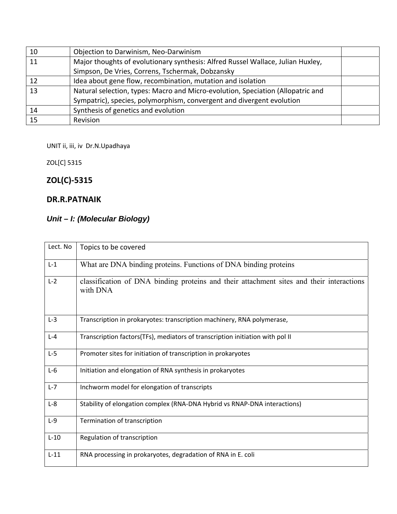| 10 | Objection to Darwinism, Neo-Darwinism                                           |  |
|----|---------------------------------------------------------------------------------|--|
| 11 | Major thoughts of evolutionary synthesis: Alfred Russel Wallace, Julian Huxley, |  |
|    | Simpson, De Vries, Correns, Tschermak, Dobzansky                                |  |
| 12 | Idea about gene flow, recombination, mutation and isolation                     |  |
| 13 | Natural selection, types: Macro and Micro-evolution, Speciation (Allopatric and |  |
|    | Sympatric), species, polymorphism, convergent and divergent evolution           |  |
| 14 | Synthesis of genetics and evolution                                             |  |
| 15 | <b>Revision</b>                                                                 |  |

UNIT ii, iii, iv Dr.N.Upadhaya

ZOL[C] 5315

## **ZOL(C)‐5315**

### **DR.R.PATNAIK**

## *Unit – I: (Molecular Biology)*

| Lect. No | Topics to be covered                                                                                 |
|----------|------------------------------------------------------------------------------------------------------|
| $L-1$    | What are DNA binding proteins. Functions of DNA binding proteins                                     |
| $L-2$    | classification of DNA binding proteins and their attachment sites and their interactions<br>with DNA |
| $L-3$    | Transcription in prokaryotes: transcription machinery, RNA polymerase,                               |
| $L - 4$  | Transcription factors(TFs), mediators of transcription initiation with pol II                        |
| $L-5$    | Promoter sites for initiation of transcription in prokaryotes                                        |
| $L-6$    | Initiation and elongation of RNA synthesis in prokaryotes                                            |
| $L-7$    | Inchworm model for elongation of transcripts                                                         |
| $L-8$    | Stability of elongation complex (RNA-DNA Hybrid vs RNAP-DNA interactions)                            |
| $L-9$    | Termination of transcription                                                                         |
| $L-10$   | Regulation of transcription                                                                          |
| $L-11$   | RNA processing in prokaryotes, degradation of RNA in E. coli                                         |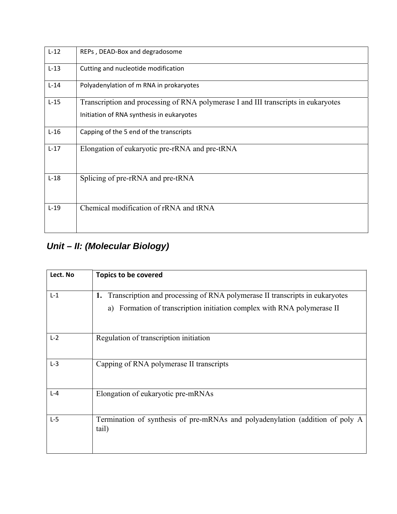| $L-12$ | REPs, DEAD-Box and degradosome                                                                                                  |
|--------|---------------------------------------------------------------------------------------------------------------------------------|
| $L-13$ | Cutting and nucleotide modification                                                                                             |
| $L-14$ | Polyadenylation of m RNA in prokaryotes                                                                                         |
| $L-15$ | Transcription and processing of RNA polymerase I and III transcripts in eukaryotes<br>Initiation of RNA synthesis in eukaryotes |
| $L-16$ | Capping of the 5 end of the transcripts                                                                                         |
| $L-17$ | Elongation of eukaryotic pre-rRNA and pre-tRNA                                                                                  |
| $L-18$ | Splicing of pre-rRNA and pre-tRNA                                                                                               |
| $L-19$ | Chemical modification of rRNA and tRNA                                                                                          |

# *Unit – II: (Molecular Biology)*

| Lect. No | <b>Topics to be covered</b>                                                                                                                                  |
|----------|--------------------------------------------------------------------------------------------------------------------------------------------------------------|
| $L-1$    | 1. Transcription and processing of RNA polymerase II transcripts in eukaryotes<br>Formation of transcription initiation complex with RNA polymerase II<br>a) |
| $L-2$    | Regulation of transcription initiation                                                                                                                       |
| $L-3$    | Capping of RNA polymerase II transcripts                                                                                                                     |
| $L - 4$  | Elongation of eukaryotic pre-mRNAs                                                                                                                           |
| $L-5$    | Termination of synthesis of pre-mRNAs and polyadenylation (addition of poly A<br>tail)                                                                       |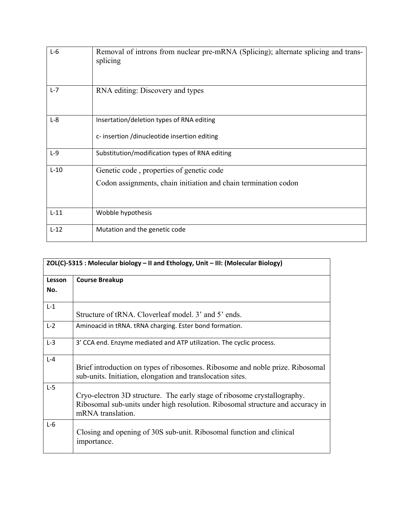| $L-6$   | Removal of introns from nuclear pre-mRNA (Splicing); alternate splicing and trans-<br>splicing              |
|---------|-------------------------------------------------------------------------------------------------------------|
| $L - 7$ | RNA editing: Discovery and types                                                                            |
| $L-8$   | Insertation/deletion types of RNA editing<br>c- insertion /dinucleotide insertion editing                   |
| $L-9$   | Substitution/modification types of RNA editing                                                              |
| $L-10$  | Genetic code, properties of genetic code<br>Codon assignments, chain initiation and chain termination codon |
| $L-11$  | Wobble hypothesis                                                                                           |
| $L-12$  | Mutation and the genetic code                                                                               |

| ZOL(C)-5315 : Molecular biology - II and Ethology, Unit - III: (Molecular Biology) |                                                                                                                                                                                 |
|------------------------------------------------------------------------------------|---------------------------------------------------------------------------------------------------------------------------------------------------------------------------------|
| Lesson<br>No.                                                                      | <b>Course Breakup</b>                                                                                                                                                           |
| $L-1$                                                                              | Structure of tRNA. Cloverleaf model, 3' and 5' ends.                                                                                                                            |
| $L-2$                                                                              | Aminoacid in tRNA. tRNA charging. Ester bond formation.                                                                                                                         |
| $L-3$                                                                              | 3' CCA end. Enzyme mediated and ATP utilization. The cyclic process.                                                                                                            |
| $L - 4$                                                                            | Brief introduction on types of ribosomes. Ribosome and noble prize. Ribosomal<br>sub-units. Initiation, elongation and translocation sites.                                     |
| $L-5$                                                                              | Cryo-electron 3D structure. The early stage of ribosome crystallography.<br>Ribosomal sub-units under high resolution. Ribosomal structure and accuracy in<br>mRNA translation. |
| $L-6$                                                                              | Closing and opening of 30S sub-unit. Ribosomal function and clinical<br>importance.                                                                                             |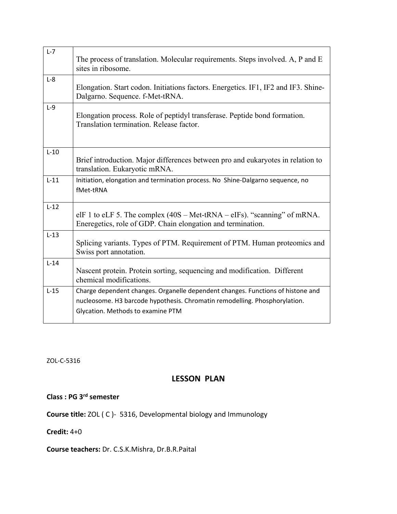| $L-7$  | The process of translation. Molecular requirements. Steps involved. A, P and E<br>sites in ribosome.                                                                                               |
|--------|----------------------------------------------------------------------------------------------------------------------------------------------------------------------------------------------------|
| $L-8$  | Elongation. Start codon. Initiations factors. Energetics. IF1, IF2 and IF3. Shine-<br>Dalgarno. Sequence. f-Met-tRNA.                                                                              |
| $L-9$  | Elongation process. Role of peptidyl transferase. Peptide bond formation.<br>Translation termination. Release factor.                                                                              |
| $L-10$ | Brief introduction. Major differences between pro and eukaryotes in relation to<br>translation. Eukaryotic mRNA.                                                                                   |
| $L-11$ | Initiation, elongation and termination process. No Shine-Dalgarno sequence, no<br>fMet-tRNA                                                                                                        |
| $L-12$ | elF 1 to eLF 5. The complex $(40S - Met-tRNA - eIFS)$ . "scanning" of mRNA.<br>Eneregetics, role of GDP. Chain elongation and termination.                                                         |
| $L-13$ | Splicing variants. Types of PTM. Requirement of PTM. Human proteomics and<br>Swiss port annotation.                                                                                                |
| $L-14$ | Nascent protein. Protein sorting, sequencing and modification. Different<br>chemical modifications.                                                                                                |
| $L-15$ | Charge dependent changes. Organelle dependent changes. Functions of histone and<br>nucleosome. H3 barcode hypothesis. Chromatin remodelling. Phosphorylation.<br>Glycation. Methods to examine PTM |

ZOL‐C‐5316

## **LESSON PLAN**

## **Class : PG 3rd semester**

**Course title:** ZOL ( C )‐ 5316, Developmental biology and Immunology

**Credit:** 4+0

**Course teachers:** Dr. C.S.K.Mishra, Dr.B.R.Paital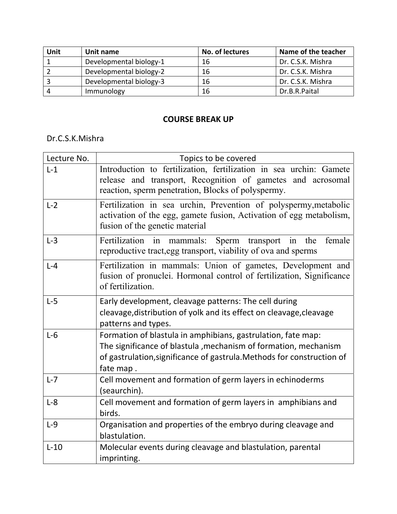| Unit | Unit name               | No. of lectures | Name of the teacher |
|------|-------------------------|-----------------|---------------------|
|      | Developmental biology-1 | 16              | Dr. C.S.K. Mishra   |
|      | Developmental biology-2 | 16              | Dr. C.S.K. Mishra   |
|      | Developmental biology-3 | 16              | Dr. C.S.K. Mishra   |
| Δ    | Immunology              | 16              | Dr.B.R.Paital       |

## **COURSE BREAK UP**

## Dr.C.S.K.Mishra

| Lecture No. | Topics to be covered                                                                                                                                                                                                    |
|-------------|-------------------------------------------------------------------------------------------------------------------------------------------------------------------------------------------------------------------------|
| $L-1$       | Introduction to fertilization, fertilization in sea urchin: Gamete<br>release and transport, Recognition of gametes and acrosomal<br>reaction, sperm penetration, Blocks of polyspermy.                                 |
| $L-2$       | Fertilization in sea urchin, Prevention of polyspermy, metabolic<br>activation of the egg, gamete fusion, Activation of egg metabolism,<br>fusion of the genetic material                                               |
| $L-3$       | Fertilization in mammals:<br>female<br>Sperm transport in<br>the<br>reproductive tract, egg transport, viability of ova and sperms                                                                                      |
| $L - 4$     | Fertilization in mammals: Union of gametes, Development and<br>fusion of pronuclei. Hormonal control of fertilization, Significance<br>of fertilization.                                                                |
| $L-5$       | Early development, cleavage patterns: The cell during<br>cleavage, distribution of yolk and its effect on cleavage, cleavage<br>patterns and types.                                                                     |
| $L-6$       | Formation of blastula in amphibians, gastrulation, fate map:<br>The significance of blastula , mechanism of formation, mechanism<br>of gastrulation, significance of gastrula. Methods for construction of<br>fate map. |
| $L-7$       | Cell movement and formation of germ layers in echinoderms<br>(seaurchin).                                                                                                                                               |
| $L-8$       | Cell movement and formation of germ layers in amphibians and<br>birds.                                                                                                                                                  |
| $L-9$       | Organisation and properties of the embryo during cleavage and<br>blastulation.                                                                                                                                          |
| $L-10$      | Molecular events during cleavage and blastulation, parental<br>imprinting.                                                                                                                                              |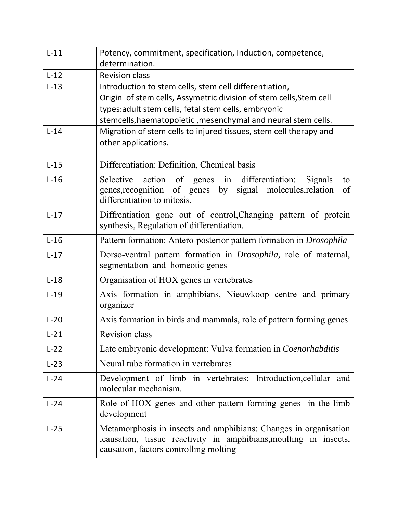| $L-11$ | Potency, commitment, specification, Induction, competence,<br>determination.                                                                                                     |
|--------|----------------------------------------------------------------------------------------------------------------------------------------------------------------------------------|
| $L-12$ | <b>Revision class</b>                                                                                                                                                            |
| $L-13$ | Introduction to stem cells, stem cell differentiation,                                                                                                                           |
|        | Origin of stem cells, Assymetric division of stem cells, Stem cell                                                                                                               |
|        | types:adult stem cells, fetal stem cells, embryonic<br>stemcells, haematopoietic, mesenchymal and neural stem cells.                                                             |
| $L-14$ | Migration of stem cells to injured tissues, stem cell therapy and                                                                                                                |
|        | other applications.                                                                                                                                                              |
| $L-15$ | Differentiation: Definition, Chemical basis                                                                                                                                      |
| $L-16$ | Selective action of genes in<br>differentiation:<br>Signals<br>to<br>genes, recognition of genes by signal molecules, relation<br>of                                             |
|        | differentiation to mitosis.                                                                                                                                                      |
| $L-17$ | Diffrentiation gone out of control, Changing pattern of protein<br>synthesis, Regulation of differentiation.                                                                     |
| $L-16$ | Pattern formation: Antero-posterior pattern formation in Drosophila                                                                                                              |
| $L-17$ | Dorso-ventral pattern formation in <i>Drosophila</i> , role of maternal,<br>segmentation and homeotic genes                                                                      |
| $L-18$ | Organisation of HOX genes in vertebrates                                                                                                                                         |
| $L-19$ | Axis formation in amphibians, Nieuwkoop centre and primary<br>organizer                                                                                                          |
| $L-20$ | Axis formation in birds and mammals, role of pattern forming genes                                                                                                               |
| $L-21$ | Revision class                                                                                                                                                                   |
| $L-22$ | Late embryonic development: Vulva formation in Coenorhabditis                                                                                                                    |
| $L-23$ | Neural tube formation in vertebrates                                                                                                                                             |
| $L-24$ | Development of limb in vertebrates: Introduction, cellular and<br>molecular mechanism.                                                                                           |
| $L-24$ | Role of HOX genes and other pattern forming genes in the limb<br>development                                                                                                     |
| $L-25$ | Metamorphosis in insects and amphibians: Changes in organisation<br>, causation, tissue reactivity in amphibians, moulting in insects,<br>causation, factors controlling molting |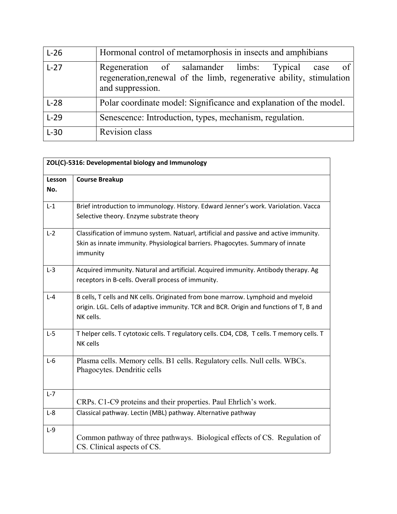| $L-26$ | Hormonal control of metamorphosis in insects and amphibians                                                                                           |
|--------|-------------------------------------------------------------------------------------------------------------------------------------------------------|
| $L-27$ | - of<br>Regeneration of salamander limbs: Typical<br>case<br>regeneration, renewal of the limb, regenerative ability, stimulation<br>and suppression. |
| $L-28$ | Polar coordinate model: Significance and explanation of the model.                                                                                    |
| $L-29$ | Senescence: Introduction, types, mechanism, regulation.                                                                                               |
| $L-30$ | <b>Revision</b> class                                                                                                                                 |

|         | ZOL(C)-5316: Developmental biology and Immunology                                                                                                                                       |  |
|---------|-----------------------------------------------------------------------------------------------------------------------------------------------------------------------------------------|--|
| Lesson  | <b>Course Breakup</b>                                                                                                                                                                   |  |
| No.     |                                                                                                                                                                                         |  |
| $L-1$   | Brief introduction to immunology. History. Edward Jenner's work. Variolation. Vacca<br>Selective theory. Enzyme substrate theory                                                        |  |
| $L-2$   | Classification of immuno system. Natuarl, artificial and passive and active immunity.<br>Skin as innate immunity. Physiological barriers. Phagocytes. Summary of innate<br>immunity     |  |
| $L-3$   | Acquired immunity. Natural and artificial. Acquired immunity. Antibody therapy. Ag<br>receptors in B-cells. Overall process of immunity.                                                |  |
| $L - 4$ | B cells, T cells and NK cells. Originated from bone marrow. Lymphoid and myeloid<br>origin. LGL. Cells of adaptive immunity. TCR and BCR. Origin and functions of T, B and<br>NK cells. |  |
| $L-5$   | T helper cells. T cytotoxic cells. T regulatory cells. CD4, CD8, T cells. T memory cells. T<br>NK cells                                                                                 |  |
| $L-6$   | Plasma cells. Memory cells. B1 cells. Regulatory cells. Null cells. WBCs.<br>Phagocytes. Dendritic cells                                                                                |  |
| $L-7$   | CRPs. C1-C9 proteins and their properties. Paul Ehrlich's work.                                                                                                                         |  |
| $L-8$   | Classical pathway. Lectin (MBL) pathway. Alternative pathway                                                                                                                            |  |
| $L-9$   | Common pathway of three pathways. Biological effects of CS. Regulation of<br>CS. Clinical aspects of CS.                                                                                |  |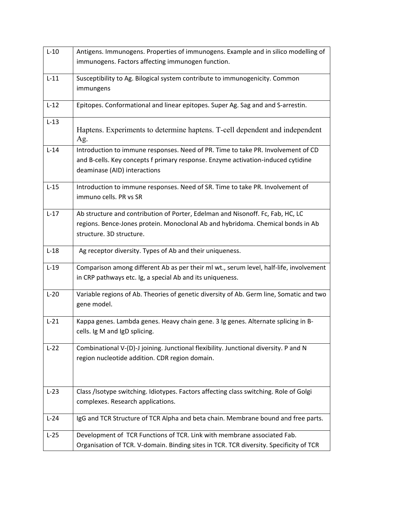| $L-10$ | Antigens. Immunogens. Properties of immunogens. Example and in silico modelling of      |
|--------|-----------------------------------------------------------------------------------------|
|        | immunogens. Factors affecting immunogen function.                                       |
| $L-11$ | Susceptibility to Ag. Bilogical system contribute to immunogenicity. Common             |
|        | immungens                                                                               |
| $L-12$ | Epitopes. Conformational and linear epitopes. Super Ag. Sag and and S-arrestin.         |
| $L-13$ |                                                                                         |
|        | Haptens. Experiments to determine haptens. T-cell dependent and independent<br>Ag.      |
| $L-14$ | Introduction to immune responses. Need of PR. Time to take PR. Involvement of CD        |
|        | and B-cells. Key concepts f primary response. Enzyme activation-induced cytidine        |
|        | deaminase (AID) interactions                                                            |
| $L-15$ | Introduction to immune responses. Need of SR. Time to take PR. Involvement of           |
|        | immuno cells. PR vs SR                                                                  |
| $L-17$ | Ab structure and contribution of Porter, Edelman and Nisonoff. Fc, Fab, HC, LC          |
|        | regions. Bence-Jones protein. Monoclonal Ab and hybridoma. Chemical bonds in Ab         |
|        | structure. 3D structure.                                                                |
| $L-18$ | Ag receptor diversity. Types of Ab and their uniqueness.                                |
| $L-19$ | Comparison among different Ab as per their ml wt., serum level, half-life, involvement  |
|        | in CRP pathways etc. Ig, a special Ab and its uniqueness.                               |
| $L-20$ | Variable regions of Ab. Theories of genetic diversity of Ab. Germ line, Somatic and two |
|        | gene model.                                                                             |
| $L-21$ | Kappa genes. Lambda genes. Heavy chain gene. 3 Ig genes. Alternate splicing in B-       |
|        | cells. Ig M and IgD splicing.                                                           |
| $L-22$ | Combinational V-(D)-J joining. Junctional flexibility. Junctional diversity. P and N    |
|        | region nucleotide addition. CDR region domain.                                          |
|        |                                                                                         |
|        |                                                                                         |
| $L-23$ | Class /Isotype switching. Idiotypes. Factors affecting class switching. Role of Golgi   |
|        | complexes. Research applications.                                                       |
| $L-24$ | IgG and TCR Structure of TCR Alpha and beta chain. Membrane bound and free parts.       |
| $L-25$ | Development of TCR Functions of TCR. Link with membrane associated Fab.                 |
|        | Organisation of TCR. V-domain. Binding sites in TCR. TCR diversity. Specificity of TCR  |